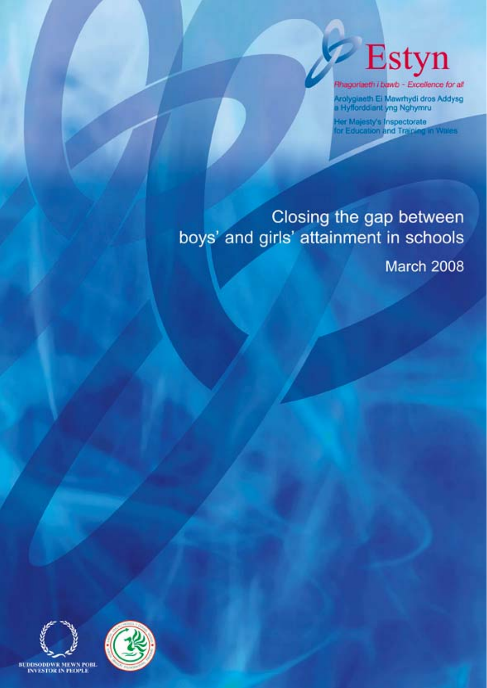

Rhagoriaeth i bawb - Excellence for all

Arolygiaeth Ei Mawrhydi dros Addysg<br>a Hyfforddiant yng Nghymru

Her Mejesty's Inspectorate<br>for Education and Training in Wales

# Closing the gap between boys' and girls' attainment in schools

March 2008

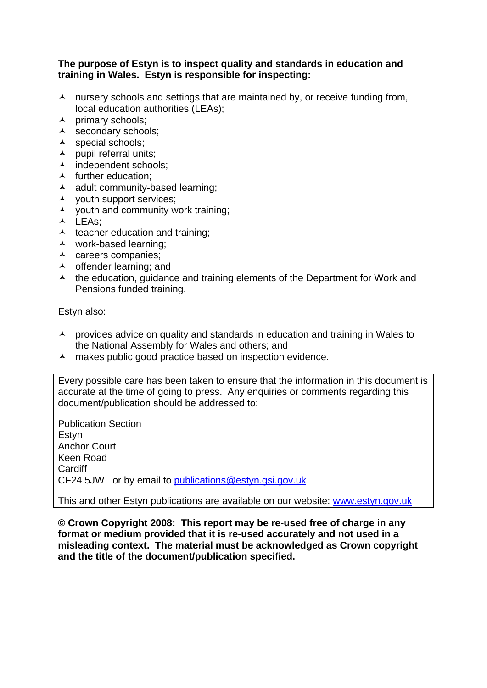#### **The purpose of Estyn is to inspect quality and standards in education and training in Wales. Estyn is responsible for inspecting:**

- $\lambda$  nursery schools and settings that are maintained by, or receive funding from, local education authorities (LEAs);
- $\lambda$  primary schools;
- A secondary schools;
- A special schools;
- $\blacktriangle$  pupil referral units;
- A independent schools;
- $\blacktriangle$  further education;
- $\lambda$  adult community-based learning;
- youth support services;
- $\lambda$  youth and community work training;
- $\overline{\phantom{a}}$  LEAs:
- $\lambda$  teacher education and training;
- work-based learning;
- $\lambda$  careers companies;
- A offender learning; and
- $\lambda$  the education, guidance and training elements of the Department for Work and Pensions funded training.

Estyn also:

- $\lambda$  provides advice on quality and standards in education and training in Wales to the National Assembly for Wales and others; and
- A makes public good practice based on inspection evidence.

Every possible care has been taken to ensure that the information in this document is accurate at the time of going to press. Any enquiries or comments regarding this document/publication should be addressed to:

Publication Section Estyn Anchor Court Keen Road **Cardiff** CF24 5JW or by email to [publications@estyn.gsi.gov.uk](mailto:publications@estyn.gsi.gov.uk)

This and other Estyn publications are available on our website: [www.estyn.gov.uk](http://www.estyn.gov.uk/)

**© Crown Copyright 2008: This report may be re-used free of charge in any format or medium provided that it is re-used accurately and not used in a misleading context. The material must be acknowledged as Crown copyright and the title of the document/publication specified.**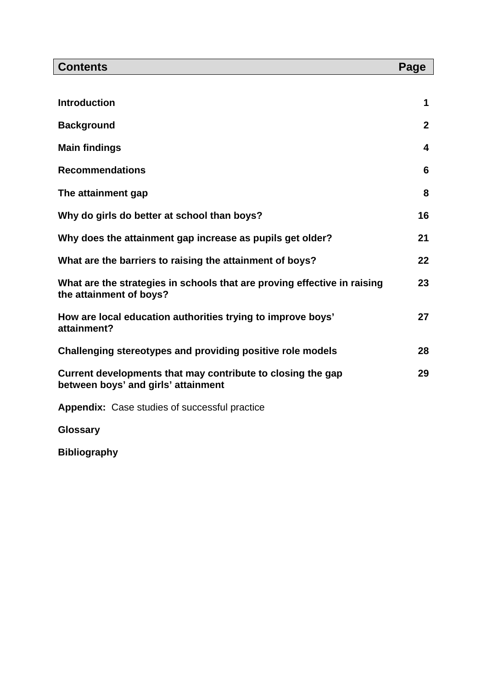| <b>Contents</b>                                                                                     | Page         |
|-----------------------------------------------------------------------------------------------------|--------------|
|                                                                                                     |              |
| <b>Introduction</b>                                                                                 | 1            |
| <b>Background</b>                                                                                   | $\mathbf{2}$ |
| <b>Main findings</b>                                                                                | 4            |
| <b>Recommendations</b>                                                                              | 6            |
| The attainment gap                                                                                  | 8            |
| Why do girls do better at school than boys?                                                         | 16           |
| Why does the attainment gap increase as pupils get older?                                           | 21           |
| What are the barriers to raising the attainment of boys?                                            | 22           |
| What are the strategies in schools that are proving effective in raising<br>the attainment of boys? | 23           |
| How are local education authorities trying to improve boys'<br>attainment?                          | 27           |
| Challenging stereotypes and providing positive role models                                          | 28           |
| Current developments that may contribute to closing the gap<br>between boys' and girls' attainment  | 29           |
| <b>Appendix:</b> Case studies of successful practice                                                |              |

**Glossary** 

**Bibliography**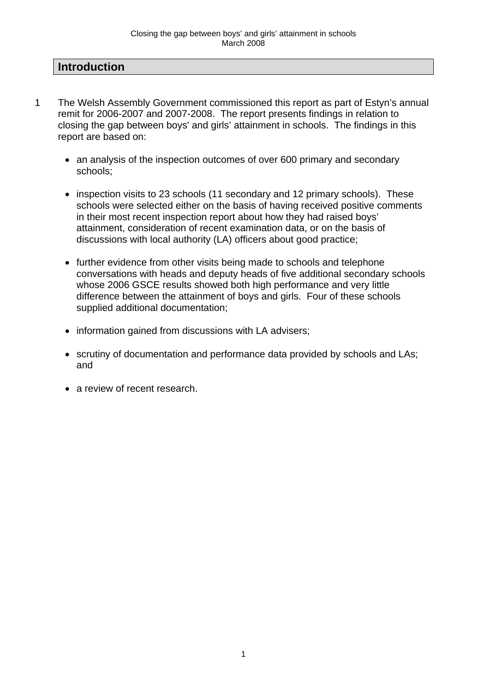## **Introduction**

- 1 The Welsh Assembly Government commissioned this report as part of Estyn's annual remit for 2006-2007 and 2007-2008. The report presents findings in relation to closing the gap between boys' and girls' attainment in schools. The findings in this report are based on:
	- an analysis of the inspection outcomes of over 600 primary and secondary schools;
	- inspection visits to 23 schools (11 secondary and 12 primary schools). These schools were selected either on the basis of having received positive comments in their most recent inspection report about how they had raised boys' attainment, consideration of recent examination data, or on the basis of discussions with local authority (LA) officers about good practice;
	- further evidence from other visits being made to schools and telephone conversations with heads and deputy heads of five additional secondary schools whose 2006 GSCE results showed both high performance and very little difference between the attainment of boys and girls. Four of these schools supplied additional documentation;
	- information gained from discussions with LA advisers;
	- scrutiny of documentation and performance data provided by schools and LAs; and
	- a review of recent research.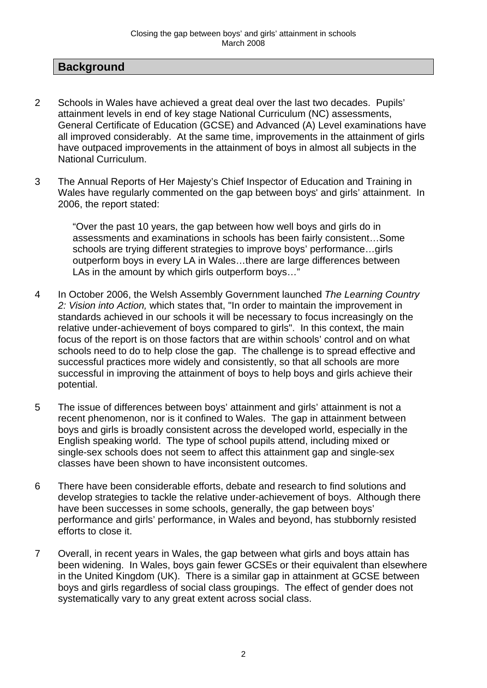## **Background**

- 2 Schools in Wales have achieved a great deal over the last two decades. Pupils' attainment levels in end of key stage National Curriculum (NC) assessments, General Certificate of Education (GCSE) and Advanced (A) Level examinations have all improved considerably. At the same time, improvements in the attainment of girls have outpaced improvements in the attainment of boys in almost all subjects in the National Curriculum.
- 3 The Annual Reports of Her Majesty's Chief Inspector of Education and Training in Wales have regularly commented on the gap between boys' and girls' attainment. In 2006, the report stated:

"Over the past 10 years, the gap between how well boys and girls do in assessments and examinations in schools has been fairly consistent…Some schools are trying different strategies to improve boys' performance…girls outperform boys in every LA in Wales…there are large differences between LAs in the amount by which girls outperform boys..."

- 4 In October 2006, the Welsh Assembly Government launched *The Learning Country 2: Vision into Action,* which states that, "In order to maintain the improvement in standards achieved in our schools it will be necessary to focus increasingly on the relative under-achievement of boys compared to girls". In this context, the main focus of the report is on those factors that are within schools' control and on what schools need to do to help close the gap. The challenge is to spread effective and successful practices more widely and consistently, so that all schools are more successful in improving the attainment of boys to help boys and girls achieve their potential.
- 5 The issue of differences between boys' attainment and girls' attainment is not a recent phenomenon, nor is it confined to Wales. The gap in attainment between boys and girls is broadly consistent across the developed world, especially in the English speaking world. The type of school pupils attend, including mixed or single-sex schools does not seem to affect this attainment gap and single-sex classes have been shown to have inconsistent outcomes.
- 6 There have been considerable efforts, debate and research to find solutions and develop strategies to tackle the relative under-achievement of boys. Although there have been successes in some schools, generally, the gap between boys' performance and girls' performance, in Wales and beyond, has stubbornly resisted efforts to close it.
- 7 Overall, in recent years in Wales, the gap between what girls and boys attain has been widening. In Wales, boys gain fewer GCSEs or their equivalent than elsewhere in the United Kingdom (UK). There is a similar gap in attainment at GCSE between boys and girls regardless of social class groupings. The effect of gender does not systematically vary to any great extent across social class.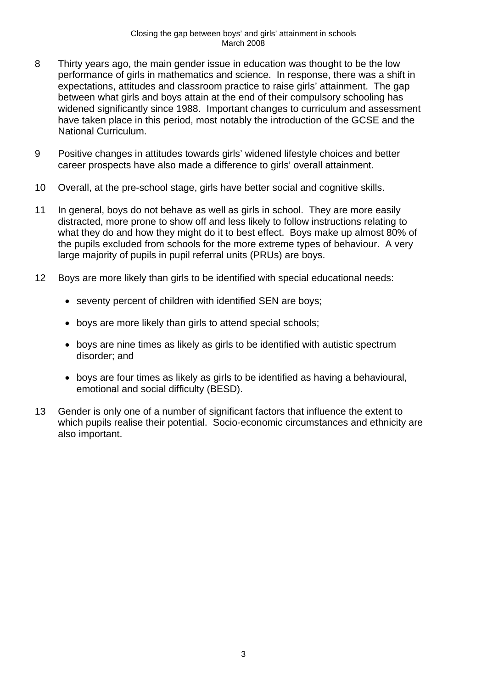- 8 Thirty years ago, the main gender issue in education was thought to be the low performance of girls in mathematics and science. In response, there was a shift in expectations, attitudes and classroom practice to raise girls' attainment. The gap between what girls and boys attain at the end of their compulsory schooling has widened significantly since 1988. Important changes to curriculum and assessment have taken place in this period, most notably the introduction of the GCSE and the National Curriculum.
- 9 Positive changes in attitudes towards girls' widened lifestyle choices and better career prospects have also made a difference to girls' overall attainment.
- 10 Overall, at the pre-school stage, girls have better social and cognitive skills.
- 11 In general, boys do not behave as well as girls in school. They are more easily distracted, more prone to show off and less likely to follow instructions relating to what they do and how they might do it to best effect. Boys make up almost 80% of the pupils excluded from schools for the more extreme types of behaviour. A very large majority of pupils in pupil referral units (PRUs) are boys.
- 12 Boys are more likely than girls to be identified with special educational needs:
	- seventy percent of children with identified SEN are boys;
	- boys are more likely than girls to attend special schools;
	- boys are nine times as likely as girls to be identified with autistic spectrum disorder; and
	- boys are four times as likely as girls to be identified as having a behavioural, emotional and social difficulty (BESD).
- 13 Gender is only one of a number of significant factors that influence the extent to which pupils realise their potential. Socio-economic circumstances and ethnicity are also important.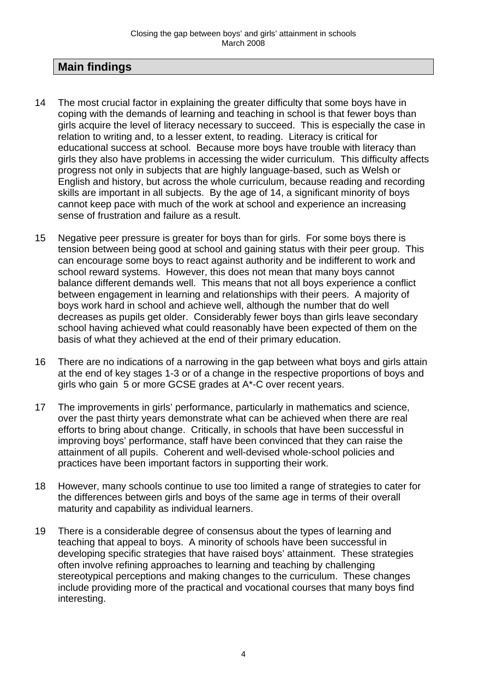# **Main findings**

- 14 The most crucial factor in explaining the greater difficulty that some boys have in coping with the demands of learning and teaching in school is that fewer boys than girls acquire the level of literacy necessary to succeed. This is especially the case in relation to writing and, to a lesser extent, to reading. Literacy is critical for educational success at school. Because more boys have trouble with literacy than girls they also have problems in accessing the wider curriculum. This difficulty affects progress not only in subjects that are highly language-based, such as Welsh or English and history, but across the whole curriculum, because reading and recording skills are important in all subjects. By the age of 14, a significant minority of boys cannot keep pace with much of the work at school and experience an increasing sense of frustration and failure as a result.
- 15 Negative peer pressure is greater for boys than for girls. For some boys there is tension between being good at school and gaining status with their peer group. This can encourage some boys to react against authority and be indifferent to work and school reward systems. However, this does not mean that many boys cannot balance different demands well. This means that not all boys experience a conflict between engagement in learning and relationships with their peers. A majority of boys work hard in school and achieve well, although the number that do well decreases as pupils get older. Considerably fewer boys than girls leave secondary school having achieved what could reasonably have been expected of them on the basis of what they achieved at the end of their primary education.
- 16 There are no indications of a narrowing in the gap between what boys and girls attain at the end of key stages 1-3 or of a change in the respective proportions of boys and girls who gain 5 or more GCSE grades at A\*-C over recent years.
- 17 The improvements in girls' performance, particularly in mathematics and science, over the past thirty years demonstrate what can be achieved when there are real efforts to bring about change. Critically, in schools that have been successful in improving boys' performance, staff have been convinced that they can raise the attainment of all pupils. Coherent and well-devised whole-school policies and practices have been important factors in supporting their work.
- 18 However, many schools continue to use too limited a range of strategies to cater for the differences between girls and boys of the same age in terms of their overall maturity and capability as individual learners.
- 19 There is a considerable degree of consensus about the types of learning and teaching that appeal to boys. A minority of schools have been successful in developing specific strategies that have raised boys' attainment. These strategies often involve refining approaches to learning and teaching by challenging stereotypical perceptions and making changes to the curriculum. These changes include providing more of the practical and vocational courses that many boys find interesting.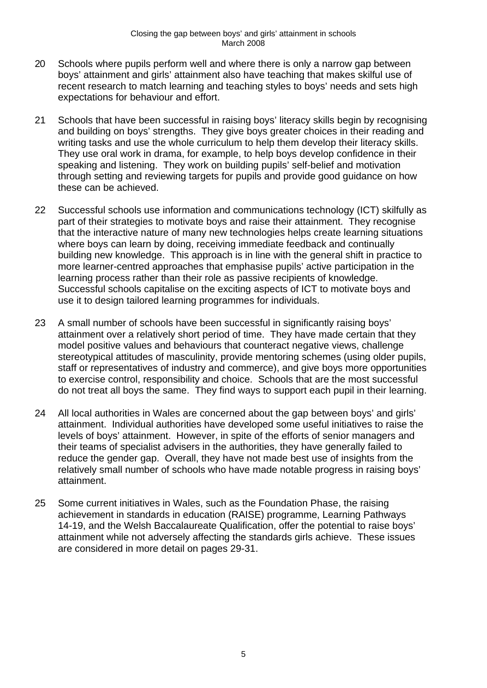- 20 Schools where pupils perform well and where there is only a narrow gap between boys' attainment and girls' attainment also have teaching that makes skilful use of recent research to match learning and teaching styles to boys' needs and sets high expectations for behaviour and effort.
- 21 Schools that have been successful in raising boys' literacy skills begin by recognising and building on boys' strengths. They give boys greater choices in their reading and writing tasks and use the whole curriculum to help them develop their literacy skills. They use oral work in drama, for example, to help boys develop confidence in their speaking and listening. They work on building pupils' self-belief and motivation through setting and reviewing targets for pupils and provide good guidance on how these can be achieved.
- 22 Successful schools use information and communications technology (ICT) skilfully as part of their strategies to motivate boys and raise their attainment. They recognise that the interactive nature of many new technologies helps create learning situations where boys can learn by doing, receiving immediate feedback and continually building new knowledge. This approach is in line with the general shift in practice to more learner-centred approaches that emphasise pupils' active participation in the learning process rather than their role as passive recipients of knowledge. Successful schools capitalise on the exciting aspects of ICT to motivate boys and use it to design tailored learning programmes for individuals.
- 23 A small number of schools have been successful in significantly raising boys' attainment over a relatively short period of time. They have made certain that they model positive values and behaviours that counteract negative views, challenge stereotypical attitudes of masculinity, provide mentoring schemes (using older pupils, staff or representatives of industry and commerce), and give boys more opportunities to exercise control, responsibility and choice. Schools that are the most successful do not treat all boys the same. They find ways to support each pupil in their learning.
- 24 All local authorities in Wales are concerned about the gap between boys' and girls' attainment. Individual authorities have developed some useful initiatives to raise the levels of boys' attainment. However, in spite of the efforts of senior managers and their teams of specialist advisers in the authorities, they have generally failed to reduce the gender gap. Overall, they have not made best use of insights from the relatively small number of schools who have made notable progress in raising boys' attainment.
- 25 Some current initiatives in Wales, such as the Foundation Phase, the raising achievement in standards in education (RAISE) programme, Learning Pathways 14-19, and the Welsh Baccalaureate Qualification, offer the potential to raise boys' attainment while not adversely affecting the standards girls achieve. These issues are considered in more detail on pages 29-31.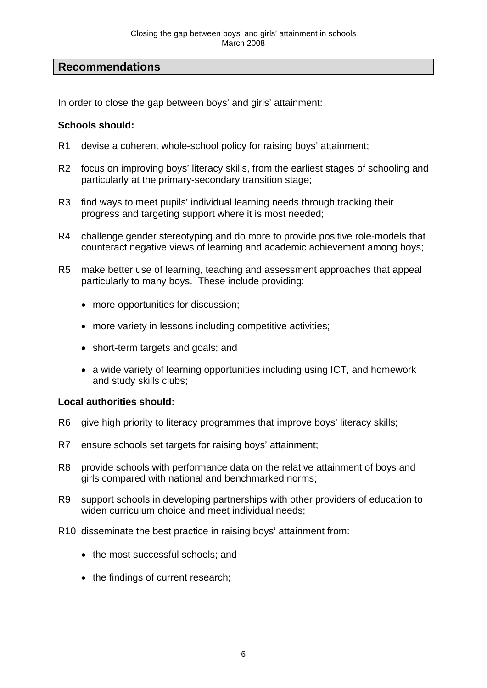# **Recommendations**

In order to close the gap between boys' and girls' attainment:

## **Schools should:**

- R1 devise a coherent whole-school policy for raising boys' attainment;
- R2 focus on improving boys' literacy skills, from the earliest stages of schooling and particularly at the primary-secondary transition stage;
- R3 find ways to meet pupils' individual learning needs through tracking their progress and targeting support where it is most needed;
- R4 challenge gender stereotyping and do more to provide positive role-models that counteract negative views of learning and academic achievement among boys;
- R5 make better use of learning, teaching and assessment approaches that appeal particularly to many boys. These include providing:
	- more opportunities for discussion:
	- more variety in lessons including competitive activities;
	- short-term targets and goals; and
	- a wide variety of learning opportunities including using ICT, and homework and study skills clubs;

#### **Local authorities should:**

- R6 give high priority to literacy programmes that improve boys' literacy skills;
- R7 ensure schools set targets for raising boys' attainment;
- R8 provide schools with performance data on the relative attainment of boys and girls compared with national and benchmarked norms;
- R9 support schools in developing partnerships with other providers of education to widen curriculum choice and meet individual needs;
- R10 disseminate the best practice in raising boys' attainment from:
	- the most successful schools; and
	- the findings of current research;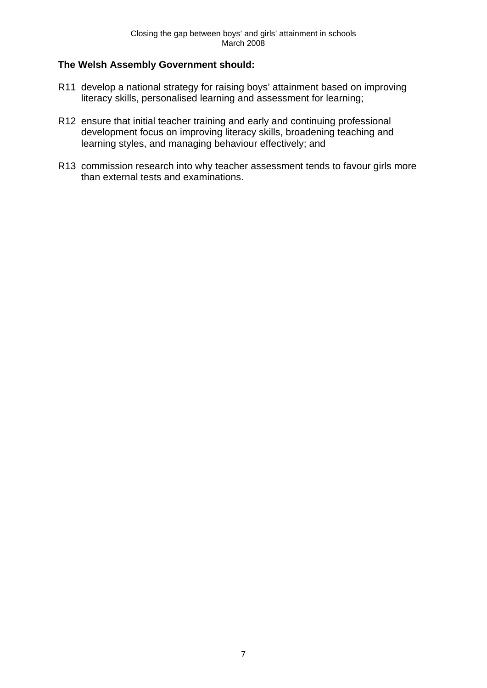## **The Welsh Assembly Government should:**

- R11 develop a national strategy for raising boys' attainment based on improving literacy skills, personalised learning and assessment for learning;
- R12 ensure that initial teacher training and early and continuing professional development focus on improving literacy skills, broadening teaching and learning styles, and managing behaviour effectively; and
- R13 commission research into why teacher assessment tends to favour girls more than external tests and examinations.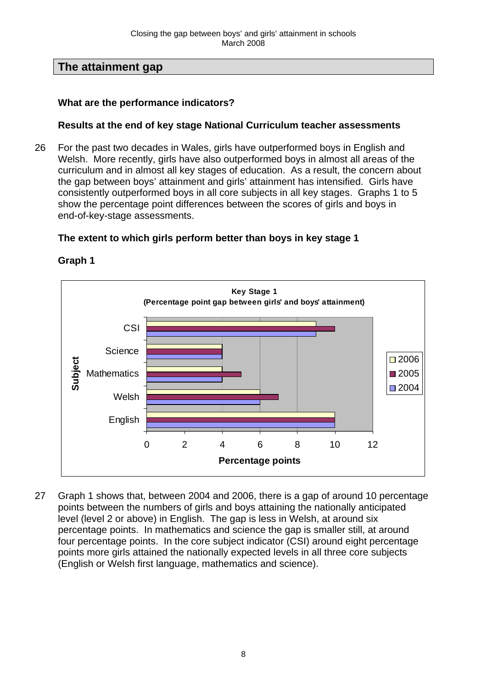# **The attainment gap**

## **What are the performance indicators?**

## **Results at the end of key stage National Curriculum teacher assessments**

26 For the past two decades in Wales, girls have outperformed boys in English and Welsh. More recently, girls have also outperformed boys in almost all areas of the curriculum and in almost all key stages of education. As a result, the concern about the gap between boys' attainment and girls' attainment has intensified. Girls have consistently outperformed boys in all core subjects in all key stages. Graphs 1 to 5 show the percentage point differences between the scores of girls and boys in end-of-key-stage assessments.

## **The extent to which girls perform better than boys in key stage 1**



## **Graph 1**

27 Graph 1 shows that, between 2004 and 2006, there is a gap of around 10 percentage points between the numbers of girls and boys attaining the nationally anticipated level (level 2 or above) in English. The gap is less in Welsh, at around six percentage points. In mathematics and science the gap is smaller still, at around four percentage points. In the core subject indicator (CSI) around eight percentage points more girls attained the nationally expected levels in all three core subjects (English or Welsh first language, mathematics and science).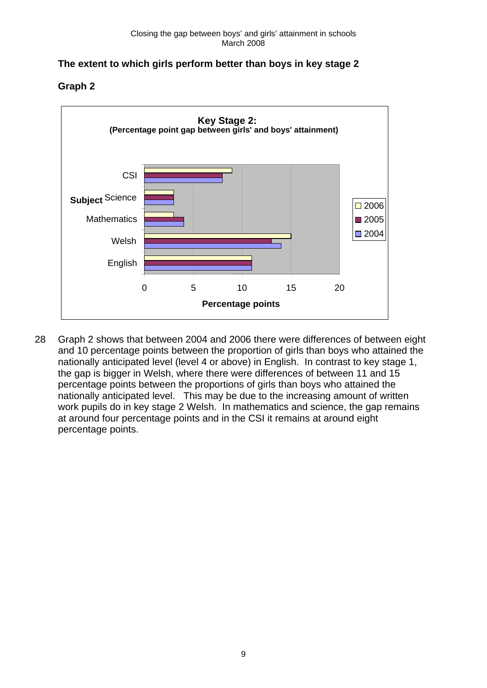# **The extent to which girls perform better than boys in key stage 2**

**Graph 2** 



28 Graph 2 shows that between 2004 and 2006 there were differences of between eight and 10 percentage points between the proportion of girls than boys who attained the nationally anticipated level (level 4 or above) in English. In contrast to key stage 1, the gap is bigger in Welsh, where there were differences of between 11 and 15 percentage points between the proportions of girls than boys who attained the nationally anticipated level. This may be due to the increasing amount of written work pupils do in key stage 2 Welsh. In mathematics and science, the gap remains at around four percentage points and in the CSI it remains at around eight percentage points.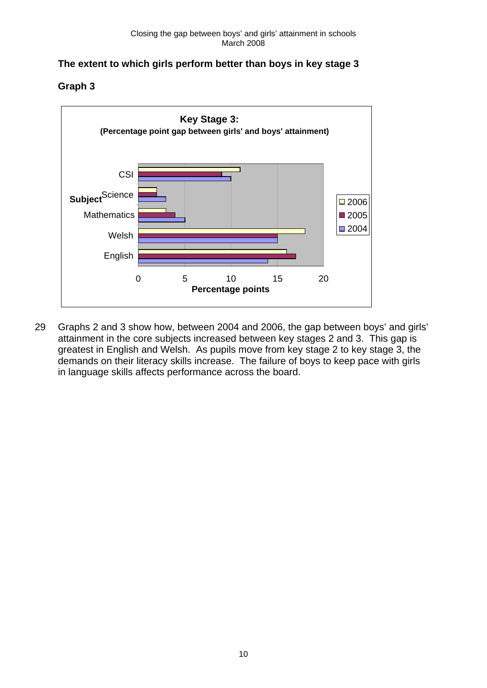# **The extent to which girls perform better than boys in key stage 3**

**Graph 3** 



29 Graphs 2 and 3 show how, between 2004 and 2006, the gap between boys' and girls' attainment in the core subjects increased between key stages 2 and 3. This gap is greatest in English and Welsh. As pupils move from key stage 2 to key stage 3, the demands on their literacy skills increase. The failure of boys to keep pace with girls in language skills affects performance across the board.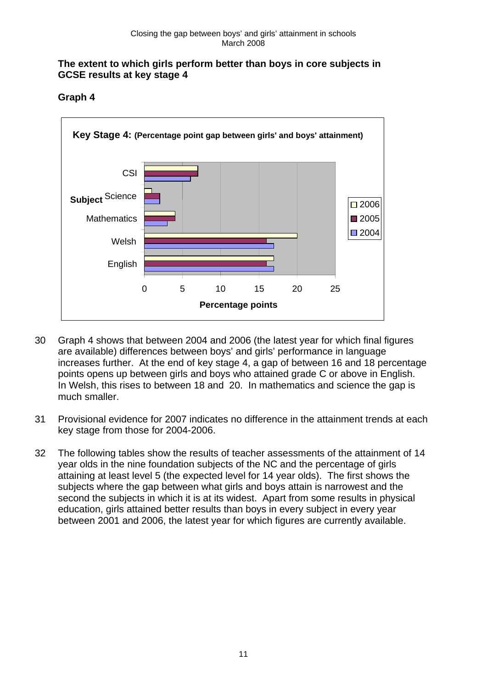## **The extent to which girls perform better than boys in core subjects in GCSE results at key stage 4**





- 30 Graph 4 shows that between 2004 and 2006 (the latest year for which final figures are available) differences between boys' and girls' performance in language increases further. At the end of key stage 4, a gap of between 16 and 18 percentage points opens up between girls and boys who attained grade C or above in English. In Welsh, this rises to between 18 and 20. In mathematics and science the gap is much smaller.
- 31 Provisional evidence for 2007 indicates no difference in the attainment trends at each key stage from those for 2004-2006.
- 32 The following tables show the results of teacher assessments of the attainment of 14 year olds in the nine foundation subjects of the NC and the percentage of girls attaining at least level 5 (the expected level for 14 year olds). The first shows the subjects where the gap between what girls and boys attain is narrowest and the second the subjects in which it is at its widest. Apart from some results in physical education, girls attained better results than boys in every subject in every year between 2001 and 2006, the latest year for which figures are currently available.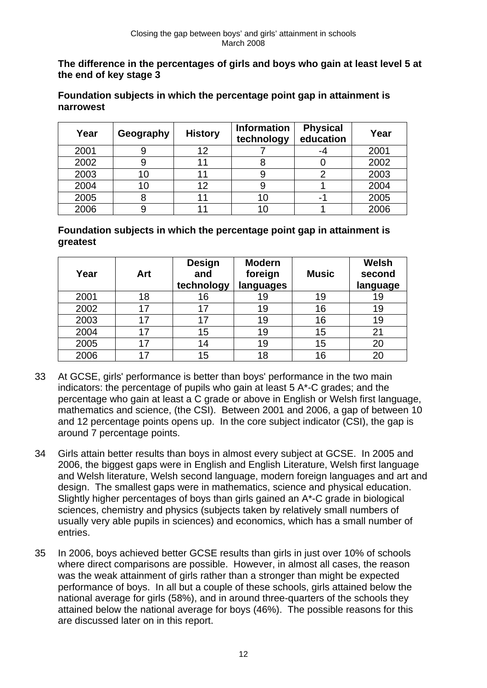**The difference in the percentages of girls and boys who gain at least level 5 at the end of key stage 3** 

**Foundation subjects in which the percentage point gap in attainment is narrowest** 

| Year | Geography | <b>History</b> | <b>Information</b><br>technology | <b>Physical</b><br>education | Year |
|------|-----------|----------------|----------------------------------|------------------------------|------|
| 2001 |           | 12             |                                  | -4                           | 2001 |
| 2002 | У         |                |                                  |                              | 2002 |
| 2003 | 10        |                |                                  |                              | 2003 |
| 2004 | 10        | 12             |                                  |                              | 2004 |
| 2005 |           |                | 10                               | -                            | 2005 |
| 2006 |           |                | 10                               |                              | 2006 |

**Foundation subjects in which the percentage point gap in attainment is greatest** 

| Year | Art | <b>Design</b><br>and<br>technology | <b>Modern</b><br>foreign<br>languages | <b>Music</b> | Welsh<br>second<br>language |
|------|-----|------------------------------------|---------------------------------------|--------------|-----------------------------|
| 2001 | 18  | 16                                 | 19                                    | 19           | 19                          |
| 2002 | 17  | 17                                 | 19                                    | 16           | 19                          |
| 2003 | 17  | 17                                 | 19                                    | 16           | 19                          |
| 2004 | 17  | 15                                 | 19                                    | 15           | 21                          |
| 2005 | 17  | 14                                 | 19                                    | 15           | 20                          |
| 2006 | 17  | 15                                 | 18                                    | 16           | 20                          |

- 33 At GCSE, girls' performance is better than boys' performance in the two main indicators: the percentage of pupils who gain at least 5 A\*-C grades; and the percentage who gain at least a C grade or above in English or Welsh first language, mathematics and science, (the CSI). Between 2001 and 2006, a gap of between 10 and 12 percentage points opens up. In the core subject indicator (CSI), the gap is around 7 percentage points.
- 34 Girls attain better results than boys in almost every subject at GCSE. In 2005 and 2006, the biggest gaps were in English and English Literature, Welsh first language and Welsh literature, Welsh second language, modern foreign languages and art and design. The smallest gaps were in mathematics, science and physical education. Slightly higher percentages of boys than girls gained an A\*-C grade in biological sciences, chemistry and physics (subjects taken by relatively small numbers of usually very able pupils in sciences) and economics, which has a small number of entries.
- 35 In 2006, boys achieved better GCSE results than girls in just over 10% of schools where direct comparisons are possible. However, in almost all cases, the reason was the weak attainment of girls rather than a stronger than might be expected performance of boys. In all but a couple of these schools, girls attained below the national average for girls (58%), and in around three-quarters of the schools they attained below the national average for boys (46%). The possible reasons for this are discussed later on in this report.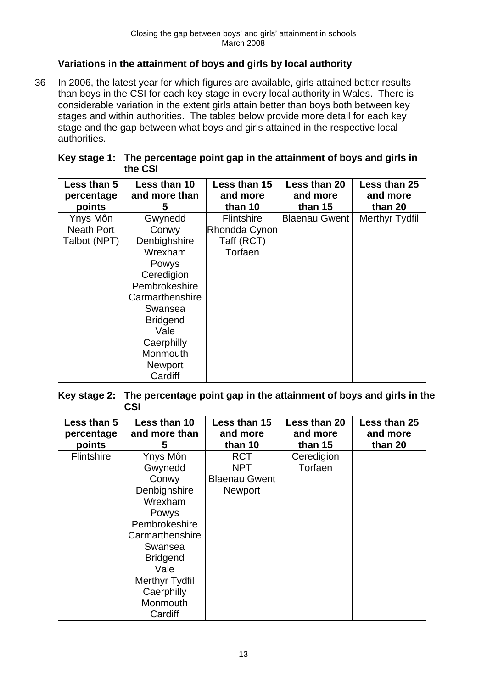## **Variations in the attainment of boys and girls by local authority**

36 In 2006, the latest year for which figures are available, girls attained better results than boys in the CSI for each key stage in every local authority in Wales. There is considerable variation in the extent girls attain better than boys both between key stages and within authorities. The tables below provide more detail for each key stage and the gap between what boys and girls attained in the respective local authorities.

| Key stage 1: The percentage point gap in the attainment of boys and girls in |
|------------------------------------------------------------------------------|
| the CSI                                                                      |

| Less than 5<br>percentage<br>points | Less than 10<br>and more than<br>5 | Less than 15<br>and more<br>than 10 | Less than 20<br>and more<br>than 15 | Less than 25<br>and more<br>than 20 |
|-------------------------------------|------------------------------------|-------------------------------------|-------------------------------------|-------------------------------------|
| Ynys Môn                            | Gwynedd                            | <b>Flintshire</b>                   | <b>Blaenau Gwent</b>                | Merthyr Tydfil                      |
| <b>Neath Port</b>                   | Conwy                              | Rhondda Cynon                       |                                     |                                     |
| Talbot (NPT)                        | Denbighshire                       | Taff (RCT)                          |                                     |                                     |
|                                     | Wrexham                            | Torfaen                             |                                     |                                     |
|                                     | Powys                              |                                     |                                     |                                     |
|                                     | Ceredigion                         |                                     |                                     |                                     |
|                                     | Pembrokeshire                      |                                     |                                     |                                     |
|                                     | Carmarthenshire                    |                                     |                                     |                                     |
|                                     | Swansea                            |                                     |                                     |                                     |
|                                     | <b>Bridgend</b>                    |                                     |                                     |                                     |
|                                     | Vale                               |                                     |                                     |                                     |
|                                     | Caerphilly                         |                                     |                                     |                                     |
|                                     | Monmouth                           |                                     |                                     |                                     |
|                                     | <b>Newport</b>                     |                                     |                                     |                                     |
|                                     | Cardiff                            |                                     |                                     |                                     |

**Key stage 2: The percentage point gap in the attainment of boys and girls in the CSI** 

| Less than 5<br>percentage<br>points | Less than 10<br>and more than<br>5 | Less than 15<br>and more<br>than 10 | Less than 20<br>and more<br>than 15 | Less than 25<br>and more<br>than 20 |
|-------------------------------------|------------------------------------|-------------------------------------|-------------------------------------|-------------------------------------|
| <b>Flintshire</b>                   | Ynys Môn                           | <b>RCT</b>                          | Ceredigion                          |                                     |
|                                     | Gwynedd                            | <b>NPT</b>                          | Torfaen                             |                                     |
|                                     | Conwy                              | <b>Blaenau Gwent</b>                |                                     |                                     |
|                                     | Denbighshire                       | <b>Newport</b>                      |                                     |                                     |
|                                     | Wrexham                            |                                     |                                     |                                     |
|                                     | Powys                              |                                     |                                     |                                     |
|                                     | Pembrokeshire                      |                                     |                                     |                                     |
|                                     | Carmarthenshire                    |                                     |                                     |                                     |
|                                     | Swansea                            |                                     |                                     |                                     |
|                                     | <b>Bridgend</b>                    |                                     |                                     |                                     |
|                                     | Vale                               |                                     |                                     |                                     |
|                                     | Merthyr Tydfil                     |                                     |                                     |                                     |
|                                     | Caerphilly                         |                                     |                                     |                                     |
|                                     | Monmouth                           |                                     |                                     |                                     |
|                                     | Cardiff                            |                                     |                                     |                                     |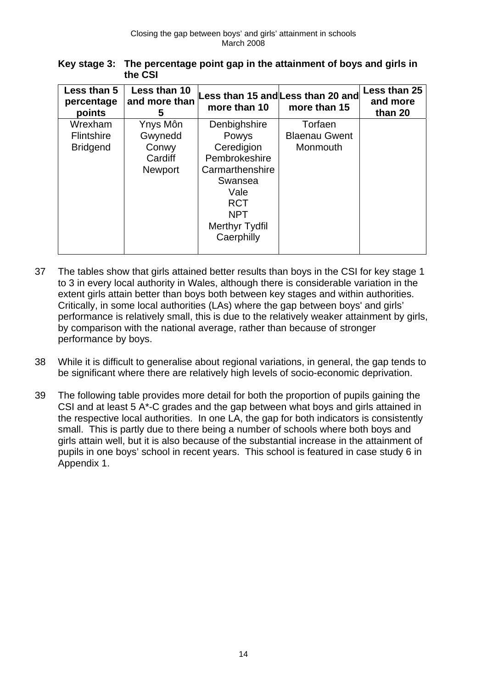| Key stage 3: The percentage point gap in the attainment of boys and girls in |
|------------------------------------------------------------------------------|
| the CSI                                                                      |

| Less than 5<br>percentage<br>points             | Less than 10<br>and more than<br>5                        | more than 10                                                                                                           | Less than 15 and Less than 20 and<br>more than 15 | Less than 25<br>and more<br>than 20 |
|-------------------------------------------------|-----------------------------------------------------------|------------------------------------------------------------------------------------------------------------------------|---------------------------------------------------|-------------------------------------|
| Wrexham<br><b>Flintshire</b><br><b>Bridgend</b> | Ynys Môn<br>Gwynedd<br>Conwy<br>Cardiff<br><b>Newport</b> | Denbighshire<br>Powys<br>Ceredigion<br>Pembrokeshire<br>Carmarthenshire<br>Swansea<br>Vale<br><b>RCT</b><br><b>NPT</b> | Torfaen<br><b>Blaenau Gwent</b><br>Monmouth       |                                     |
|                                                 |                                                           | <b>Merthyr Tydfil</b><br>Caerphilly                                                                                    |                                                   |                                     |

- 37 The tables show that girls attained better results than boys in the CSI for key stage 1 to 3 in every local authority in Wales, although there is considerable variation in the extent girls attain better than boys both between key stages and within authorities. Critically, in some local authorities (LAs) where the gap between boys' and girls' performance is relatively small, this is due to the relatively weaker attainment by girls, by comparison with the national average, rather than because of stronger performance by boys.
- 38 While it is difficult to generalise about regional variations, in general, the gap tends to be significant where there are relatively high levels of socio-economic deprivation.
- 39 The following table provides more detail for both the proportion of pupils gaining the CSI and at least 5 A\*-C grades and the gap between what boys and girls attained in the respective local authorities. In one LA, the gap for both indicators is consistently small. This is partly due to there being a number of schools where both boys and girls attain well, but it is also because of the substantial increase in the attainment of pupils in one boys' school in recent years. This school is featured in case study 6 in Appendix 1.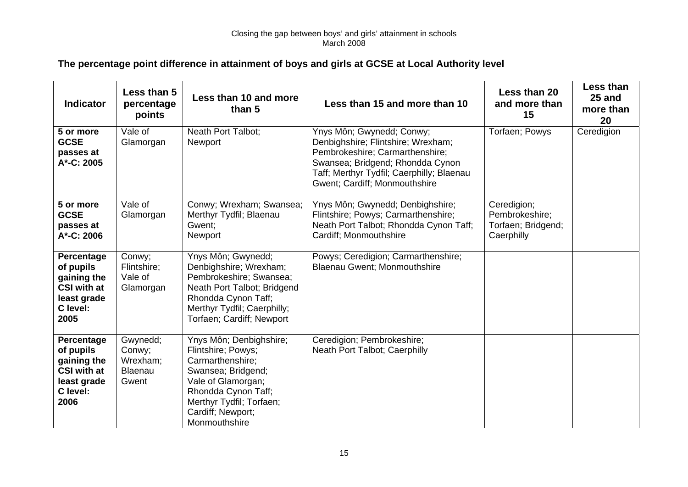#### Closing the gap between boys' and girls' attainment in schools March 2008

# **The percentage point difference in attainment of boys and girls at GCSE at Local Authority level**

| <b>Indicator</b>                                                                                | Less than 5<br>percentage<br>points                | Less than 10 and more<br>than 5                                                                                                                                                                        | Less than 15 and more than 10                                                                                                                                                                                        | Less than 20<br>and more than<br>15                               | Less than<br>25 and<br>more than<br>20 |
|-------------------------------------------------------------------------------------------------|----------------------------------------------------|--------------------------------------------------------------------------------------------------------------------------------------------------------------------------------------------------------|----------------------------------------------------------------------------------------------------------------------------------------------------------------------------------------------------------------------|-------------------------------------------------------------------|----------------------------------------|
| 5 or more<br><b>GCSE</b><br>passes at<br>A*-C: 2005                                             | Vale of<br>Glamorgan                               | Neath Port Talbot;<br>Newport                                                                                                                                                                          | Ynys Môn; Gwynedd; Conwy;<br>Denbighshire; Flintshire; Wrexham;<br>Pembrokeshire; Carmarthenshire;<br>Swansea; Bridgend; Rhondda Cynon<br>Taff; Merthyr Tydfil; Caerphilly; Blaenau<br>Gwent; Cardiff; Monmouthshire | Torfaen; Powys                                                    | Ceredigion                             |
| 5 or more<br><b>GCSE</b><br>passes at<br>A*-C: 2006                                             | $\overline{\text{Vale}}$ of<br>Glamorgan           | Conwy; Wrexham; Swansea;<br>Merthyr Tydfil; Blaenau<br>Gwent:<br>Newport                                                                                                                               | Ynys Môn; Gwynedd; Denbighshire;<br>Flintshire; Powys; Carmarthenshire;<br>Neath Port Talbot; Rhondda Cynon Taff;<br>Cardiff; Monmouthshire                                                                          | Ceredigion;<br>Pembrokeshire;<br>Torfaen; Bridgend;<br>Caerphilly |                                        |
| Percentage<br>of pupils<br>gaining the<br>CSI with at<br>least grade<br>C level:<br>2005        | Conwy;<br>Flintshire;<br>Vale of<br>Glamorgan      | Ynys Môn; Gwynedd;<br>Denbighshire; Wrexham;<br>Pembrokeshire; Swansea;<br>Neath Port Talbot; Bridgend<br>Rhondda Cynon Taff;<br>Merthyr Tydfil; Caerphilly;<br>Torfaen; Cardiff; Newport              | Powys; Ceredigion; Carmarthenshire;<br><b>Blaenau Gwent</b> ; Monmouthshire                                                                                                                                          |                                                                   |                                        |
| Percentage<br>of pupils<br>gaining the<br><b>CSI with at</b><br>least grade<br>C level:<br>2006 | Gwynedd;<br>Conwy;<br>Wrexham;<br>Blaenau<br>Gwent | Ynys Môn; Denbighshire;<br>Flintshire; Powys;<br>Carmarthenshire;<br>Swansea; Bridgend;<br>Vale of Glamorgan;<br>Rhondda Cynon Taff;<br>Merthyr Tydfil; Torfaen;<br>Cardiff; Newport;<br>Monmouthshire | Ceredigion; Pembrokeshire;<br>Neath Port Talbot; Caerphilly                                                                                                                                                          |                                                                   |                                        |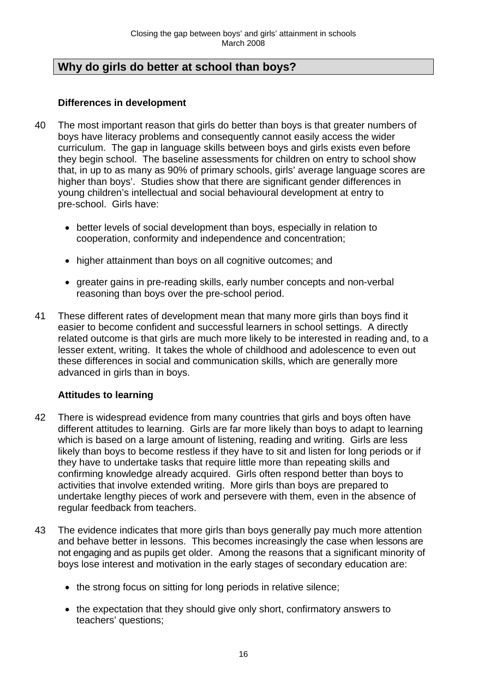# **Why do girls do better at school than boys?**

## **Differences in development**

- 40 The most important reason that girls do better than boys is that greater numbers of boys have literacy problems and consequently cannot easily access the wider curriculum. The gap in language skills between boys and girls exists even before they begin school. The baseline assessments for children on entry to school show that, in up to as many as 90% of primary schools, girls' average language scores are higher than boys'. Studies show that there are significant gender differences in young children's intellectual and social behavioural development at entry to pre-school. Girls have:
	- better levels of social development than boys, especially in relation to cooperation, conformity and independence and concentration;
	- higher attainment than boys on all cognitive outcomes; and
	- greater gains in pre-reading skills, early number concepts and non-verbal reasoning than boys over the pre-school period.
- 41 These different rates of development mean that many more girls than boys find it easier to become confident and successful learners in school settings. A directly related outcome is that girls are much more likely to be interested in reading and, to a lesser extent, writing. It takes the whole of childhood and adolescence to even out these differences in social and communication skills, which are generally more advanced in girls than in boys.

## **Attitudes to learning**

- 42 There is widespread evidence from many countries that girls and boys often have different attitudes to learning. Girls are far more likely than boys to adapt to learning which is based on a large amount of listening, reading and writing. Girls are less likely than boys to become restless if they have to sit and listen for long periods or if they have to undertake tasks that require little more than repeating skills and confirming knowledge already acquired. Girls often respond better than boys to activities that involve extended writing. More girls than boys are prepared to undertake lengthy pieces of work and persevere with them, even in the absence of regular feedback from teachers.
- 43 The evidence indicates that more girls than boys generally pay much more attention and behave better in lessons. This becomes increasingly the case when lessons are not engaging and as pupils get older. Among the reasons that a significant minority of boys lose interest and motivation in the early stages of secondary education are:
	- the strong focus on sitting for long periods in relative silence;
	- the expectation that they should give only short, confirmatory answers to teachers' questions;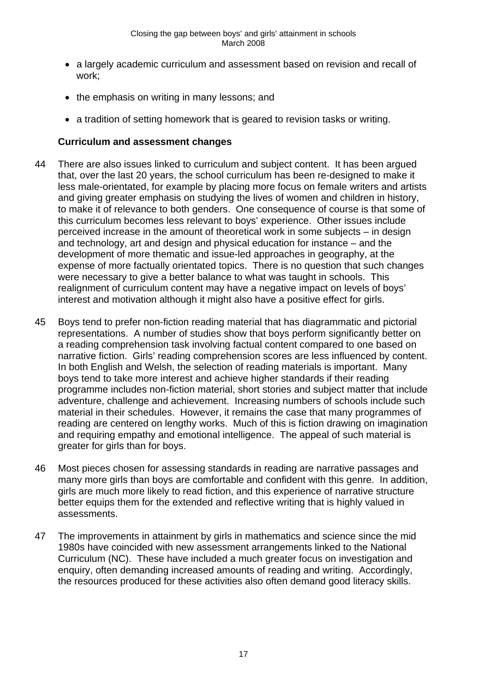- a largely academic curriculum and assessment based on revision and recall of work;
- the emphasis on writing in many lessons; and
- a tradition of setting homework that is geared to revision tasks or writing.

## **Curriculum and assessment changes**

- 44 There are also issues linked to curriculum and subject content. It has been argued that, over the last 20 years, the school curriculum has been re-designed to make it less male-orientated, for example by placing more focus on female writers and artists and giving greater emphasis on studying the lives of women and children in history, to make it of relevance to both genders. One consequence of course is that some of this curriculum becomes less relevant to boys' experience. Other issues include perceived increase in the amount of theoretical work in some subjects – in design and technology, art and design and physical education for instance – and the development of more thematic and issue-led approaches in geography, at the expense of more factually orientated topics. There is no question that such changes were necessary to give a better balance to what was taught in schools. This realignment of curriculum content may have a negative impact on levels of boys' interest and motivation although it might also have a positive effect for girls.
- 45 Boys tend to prefer non-fiction reading material that has diagrammatic and pictorial representations. A number of studies show that boys perform significantly better on a reading comprehension task involving factual content compared to one based on narrative fiction. Girls' reading comprehension scores are less influenced by content. In both English and Welsh, the selection of reading materials is important. Many boys tend to take more interest and achieve higher standards if their reading programme includes non-fiction material, short stories and subject matter that include adventure, challenge and achievement. Increasing numbers of schools include such material in their schedules. However, it remains the case that many programmes of reading are centered on lengthy works. Much of this is fiction drawing on imagination and requiring empathy and emotional intelligence. The appeal of such material is greater for girls than for boys.
- 46 Most pieces chosen for assessing standards in reading are narrative passages and many more girls than boys are comfortable and confident with this genre. In addition, girls are much more likely to read fiction, and this experience of narrative structure better equips them for the extended and reflective writing that is highly valued in assessments.
- 47 The improvements in attainment by girls in mathematics and science since the mid 1980s have coincided with new assessment arrangements linked to the National Curriculum (NC). These have included a much greater focus on investigation and enquiry, often demanding increased amounts of reading and writing. Accordingly, the resources produced for these activities also often demand good literacy skills.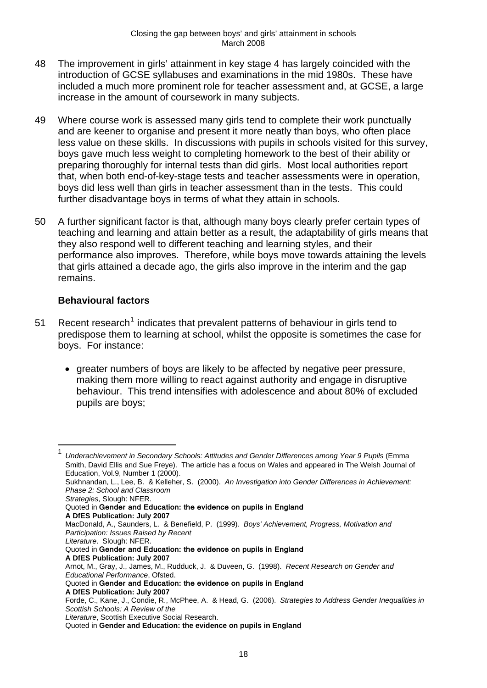- <span id="page-21-0"></span>48 The improvement in girls' attainment in key stage 4 has largely coincided with the introduction of GCSE syllabuses and examinations in the mid 1980s. These have included a much more prominent role for teacher assessment and, at GCSE, a large increase in the amount of coursework in many subjects.
- 49 Where course work is assessed many girls tend to complete their work punctually and are keener to organise and present it more neatly than boys, who often place less value on these skills. In discussions with pupils in schools visited for this survey, boys gave much less weight to completing homework to the best of their ability or preparing thoroughly for internal tests than did girls. Most local authorities report that, when both end-of-key-stage tests and teacher assessments were in operation, boys did less well than girls in teacher assessment than in the tests. This could further disadvantage boys in terms of what they attain in schools.
- 50 A further significant factor is that, although many boys clearly prefer certain types of teaching and learning and attain better as a result, the adaptability of girls means that they also respond well to different teaching and learning styles, and their performance also improves. Therefore, while boys move towards attaining the levels that girls attained a decade ago, the girls also improve in the interim and the gap remains.

## **Behavioural factors**

<u>.</u>

- 5[1](#page-21-0) Recent research<sup>1</sup> indicates that prevalent patterns of behaviour in girls tend to predispose them to learning at school, whilst the opposite is sometimes the case for boys. For instance:
	- greater numbers of boys are likely to be affected by negative peer pressure, making them more willing to react against authority and engage in disruptive behaviour. This trend intensifies with adolescence and about 80% of excluded pupils are boys;

<sup>1</sup> *Underachievement in Secondary Schools: Attitudes and Gender Differences among Year 9 Pupils* (Emma Smith, David Ellis and Sue Freye). The article has a focus on Wales and appeared in The Welsh Journal of Education, Vol.9, Number 1 (2000). Sukhnandan, L., Lee, B. & Kelleher, S. (2000). *An Investigation into Gender Differences in Achievement: Phase 2: School and Classroom Strategies*, Slough: NFER. Quoted in **Gender and Education: the evidence on pupils in England A DfES Publication: July 2007** MacDonald, A., Saunders, L. & Benefield, P. (1999). *Boys' Achievement, Progress, Motivation and Participation: Issues Raised by Recent Literature*. Slough: NFER. Quoted in **Gender and Education: the evidence on pupils in England A DfES Publication: July 2007**  Arnot, M., Gray, J., James, M., Rudduck, J. & Duveen, G. (1998). *Recent Research on Gender and Educational Performance*, Ofsted. Quoted in **Gender and Education: the evidence on pupils in England A DfES Publication: July 2007**  Forde, C., Kane, J., Condie, R., McPhee, A. & Head, G. (2006). *Strategies to Address Gender Inequalities in Scottish Schools: A Review of the Literature*, Scottish Executive Social Research. Quoted in **Gender and Education: the evidence on pupils in England**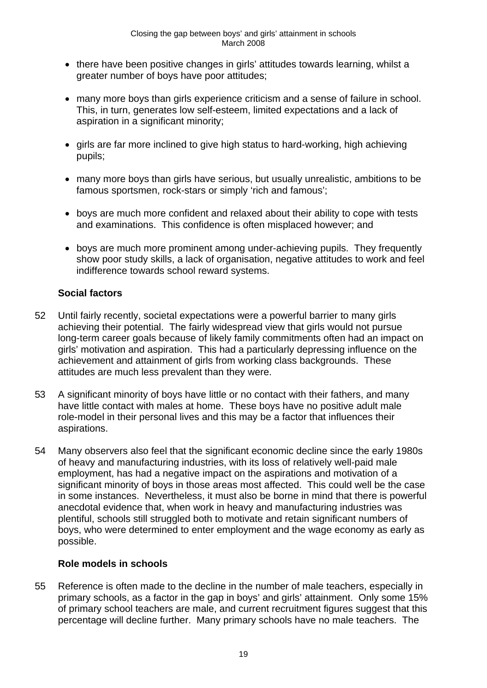- there have been positive changes in girls' attitudes towards learning, whilst a greater number of boys have poor attitudes;
- many more boys than girls experience criticism and a sense of failure in school. This, in turn, generates low self-esteem, limited expectations and a lack of aspiration in a significant minority:
- girls are far more inclined to give high status to hard-working, high achieving pupils;
- many more boys than girls have serious, but usually unrealistic, ambitions to be famous sportsmen, rock-stars or simply 'rich and famous';
- boys are much more confident and relaxed about their ability to cope with tests and examinations. This confidence is often misplaced however; and
- boys are much more prominent among under-achieving pupils. They frequently show poor study skills, a lack of organisation, negative attitudes to work and feel indifference towards school reward systems.

## **Social factors**

- 52 Until fairly recently, societal expectations were a powerful barrier to many girls achieving their potential. The fairly widespread view that girls would not pursue long-term career goals because of likely family commitments often had an impact on girls' motivation and aspiration. This had a particularly depressing influence on the achievement and attainment of girls from working class backgrounds. These attitudes are much less prevalent than they were.
- 53 A significant minority of boys have little or no contact with their fathers, and many have little contact with males at home. These boys have no positive adult male role-model in their personal lives and this may be a factor that influences their aspirations.
- 54 Many observers also feel that the significant economic decline since the early 1980s of heavy and manufacturing industries, with its loss of relatively well-paid male employment, has had a negative impact on the aspirations and motivation of a significant minority of boys in those areas most affected. This could well be the case in some instances. Nevertheless, it must also be borne in mind that there is powerful anecdotal evidence that, when work in heavy and manufacturing industries was plentiful, schools still struggled both to motivate and retain significant numbers of boys, who were determined to enter employment and the wage economy as early as possible.

## **Role models in schools**

55 Reference is often made to the decline in the number of male teachers, especially in primary schools, as a factor in the gap in boys' and girls' attainment. Only some 15% of primary school teachers are male, and current recruitment figures suggest that this percentage will decline further. Many primary schools have no male teachers. The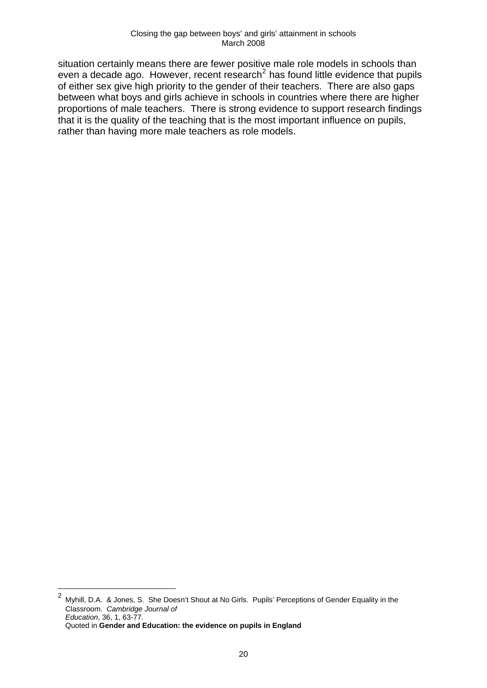<span id="page-23-0"></span>situation certainly means there are fewer positive male role models in schools than even a decade ago. However, recent research<sup>[2](#page-23-0)</sup> has found little evidence that pupils of either sex give high priority to the gender of their teachers. There are also gaps between what boys and girls achieve in schools in countries where there are higher proportions of male teachers. There is strong evidence to support research findings that it is the quality of the teaching that is the most important influence on pupils, rather than having more male teachers as role models.

 $\frac{1}{2}$  Myhill, D.A. & Jones, S. She Doesn't Shout at No Girls. Pupils' Perceptions of Gender Equality in the Classroom. *Cambridge Journal of Education*, 36, 1, 63-77. Quoted in **Gender and Education: the evidence on pupils in England**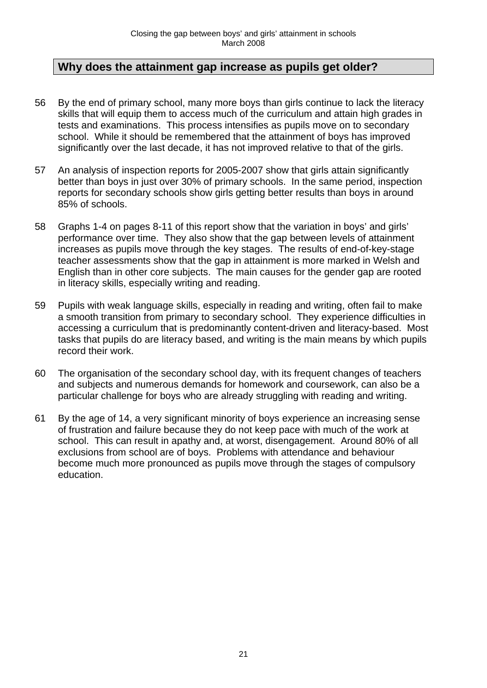# **Why does the attainment gap increase as pupils get older?**

- 56 By the end of primary school, many more boys than girls continue to lack the literacy skills that will equip them to access much of the curriculum and attain high grades in tests and examinations. This process intensifies as pupils move on to secondary school. While it should be remembered that the attainment of boys has improved significantly over the last decade, it has not improved relative to that of the girls.
- 57 An analysis of inspection reports for 2005-2007 show that girls attain significantly better than boys in just over 30% of primary schools. In the same period, inspection reports for secondary schools show girls getting better results than boys in around 85% of schools.
- 58 Graphs 1-4 on pages 8-11 of this report show that the variation in boys' and girls' performance over time. They also show that the gap between levels of attainment increases as pupils move through the key stages. The results of end-of-key-stage teacher assessments show that the gap in attainment is more marked in Welsh and English than in other core subjects. The main causes for the gender gap are rooted in literacy skills, especially writing and reading.
- 59 Pupils with weak language skills, especially in reading and writing, often fail to make a smooth transition from primary to secondary school. They experience difficulties in accessing a curriculum that is predominantly content-driven and literacy-based. Most tasks that pupils do are literacy based, and writing is the main means by which pupils record their work.
- 60 The organisation of the secondary school day, with its frequent changes of teachers and subjects and numerous demands for homework and coursework, can also be a particular challenge for boys who are already struggling with reading and writing.
- 61 By the age of 14, a very significant minority of boys experience an increasing sense of frustration and failure because they do not keep pace with much of the work at school. This can result in apathy and, at worst, disengagement. Around 80% of all exclusions from school are of boys. Problems with attendance and behaviour become much more pronounced as pupils move through the stages of compulsory education.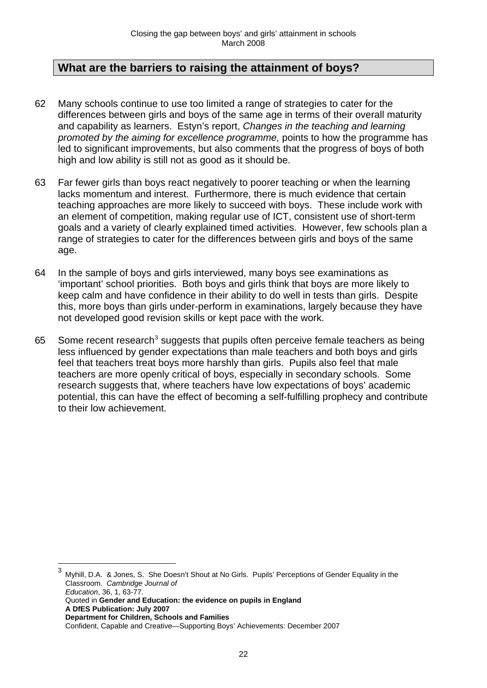# <span id="page-25-0"></span>**What are the barriers to raising the attainment of boys?**

- 62 Many schools continue to use too limited a range of strategies to cater for the differences between girls and boys of the same age in terms of their overall maturity and capability as learners. Estyn's report, *Changes in the teaching and learning promoted by the aiming for excellence programme,* points to how the programme has led to significant improvements, but also comments that the progress of boys of both high and low ability is still not as good as it should be.
- 63 Far fewer girls than boys react negatively to poorer teaching or when the learning lacks momentum and interest. Furthermore, there is much evidence that certain teaching approaches are more likely to succeed with boys. These include work with an element of competition, making regular use of ICT, consistent use of short-term goals and a variety of clearly explained timed activities. However, few schools plan a range of strategies to cater for the differences between girls and boys of the same age.
- 64 In the sample of boys and girls interviewed, many boys see examinations as 'important' school priorities. Both boys and girls think that boys are more likely to keep calm and have confidence in their ability to do well in tests than girls. Despite this, more boys than girls under-perform in examinations, largely because they have not developed good revision skills or kept pace with the work.
- 65 Some recent research<sup>3</sup> suggests that pupils often perceive female teachers as being less influenced by gender expectations than male teachers and both boys and girls feel that teachers treat boys more harshly than girls. Pupils also feel that male teachers are more openly critical of boys, especially in secondary schools. Some research suggests that, where teachers have low expectations of boys' academic potential, this can have the effect of becoming a self-fulfilling prophecy and contribute to their low achievement.

<sup>3</sup> Myhill, D.A. & Jones, S. She Doesn't Shout at No Girls. Pupils' Perceptions of Gender Equality in the Classroom. *Cambridge Journal of Education*, 36, 1, 63-77.

Quoted in **Gender and Education: the evidence on pupils in England** 

**A DfES Publication: July 2007** 

1

**Department for Children, Schools and Families** 

Confident, Capable and Creative—Supporting Boys' Achievements: December 2007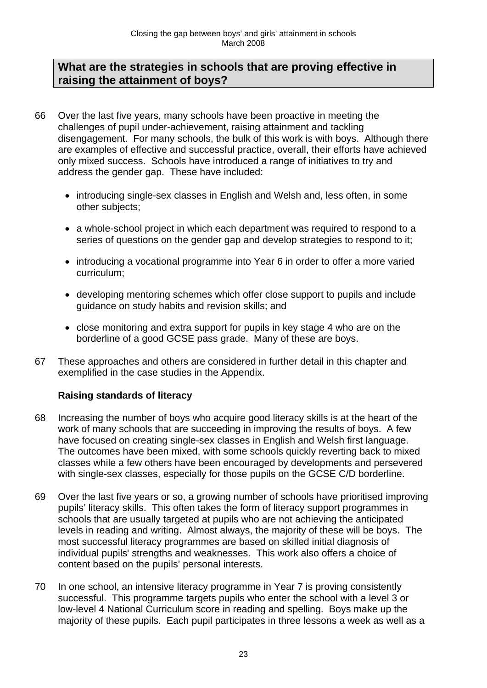# **What are the strategies in schools that are proving effective in raising the attainment of boys?**

- 66 Over the last five years, many schools have been proactive in meeting the challenges of pupil under-achievement, raising attainment and tackling disengagement. For many schools, the bulk of this work is with boys. Although there are examples of effective and successful practice, overall, their efforts have achieved only mixed success. Schools have introduced a range of initiatives to try and address the gender gap. These have included:
	- introducing single-sex classes in English and Welsh and, less often, in some other subjects;
	- a whole-school project in which each department was required to respond to a series of questions on the gender gap and develop strategies to respond to it;
	- introducing a vocational programme into Year 6 in order to offer a more varied curriculum;
	- developing mentoring schemes which offer close support to pupils and include guidance on study habits and revision skills; and
	- close monitoring and extra support for pupils in key stage 4 who are on the borderline of a good GCSE pass grade. Many of these are boys.
- 67 These approaches and others are considered in further detail in this chapter and exemplified in the case studies in the Appendix.

## **Raising standards of literacy**

- 68 Increasing the number of boys who acquire good literacy skills is at the heart of the work of many schools that are succeeding in improving the results of boys. A few have focused on creating single-sex classes in English and Welsh first language. The outcomes have been mixed, with some schools quickly reverting back to mixed classes while a few others have been encouraged by developments and persevered with single-sex classes, especially for those pupils on the GCSE C/D borderline.
- 69 Over the last five years or so, a growing number of schools have prioritised improving pupils' literacy skills. This often takes the form of literacy support programmes in schools that are usually targeted at pupils who are not achieving the anticipated levels in reading and writing. Almost always, the majority of these will be boys. The most successful literacy programmes are based on skilled initial diagnosis of individual pupils' strengths and weaknesses. This work also offers a choice of content based on the pupils' personal interests.
- 70 In one school, an intensive literacy programme in Year 7 is proving consistently successful. This programme targets pupils who enter the school with a level 3 or low-level 4 National Curriculum score in reading and spelling. Boys make up the majority of these pupils. Each pupil participates in three lessons a week as well as a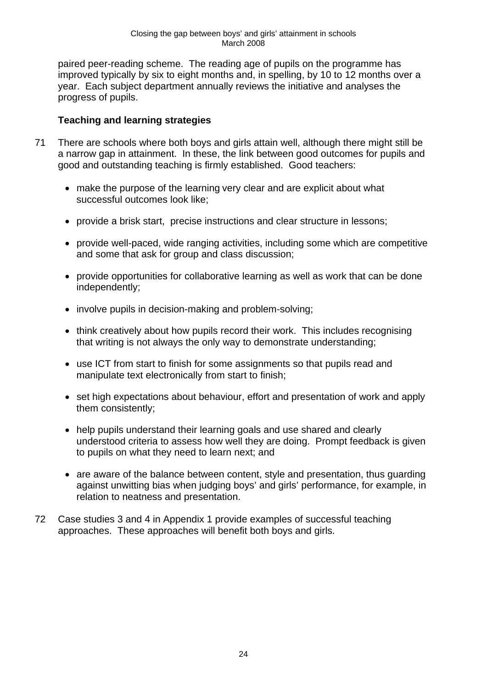paired peer-reading scheme. The reading age of pupils on the programme has improved typically by six to eight months and, in spelling, by 10 to 12 months over a year. Each subject department annually reviews the initiative and analyses the progress of pupils.

## **Teaching and learning strategies**

- 71 There are schools where both boys and girls attain well, although there might still be a narrow gap in attainment. In these, the link between good outcomes for pupils and good and outstanding teaching is firmly established. Good teachers:
	- make the purpose of the learning very clear and are explicit about what successful outcomes look like;
	- provide a brisk start, precise instructions and clear structure in lessons;
	- provide well-paced, wide ranging activities, including some which are competitive and some that ask for group and class discussion;
	- provide opportunities for collaborative learning as well as work that can be done independently;
	- involve pupils in decision-making and problem-solving;
	- think creatively about how pupils record their work. This includes recognising that writing is not always the only way to demonstrate understanding;
	- use ICT from start to finish for some assignments so that pupils read and manipulate text electronically from start to finish;
	- set high expectations about behaviour, effort and presentation of work and apply them consistently;
	- help pupils understand their learning goals and use shared and clearly understood criteria to assess how well they are doing. Prompt feedback is given to pupils on what they need to learn next; and
	- are aware of the balance between content, style and presentation, thus guarding against unwitting bias when judging boys' and girls' performance, for example, in relation to neatness and presentation.
- 72 Case studies 3 and 4 in Appendix 1 provide examples of successful teaching approaches. These approaches will benefit both boys and girls.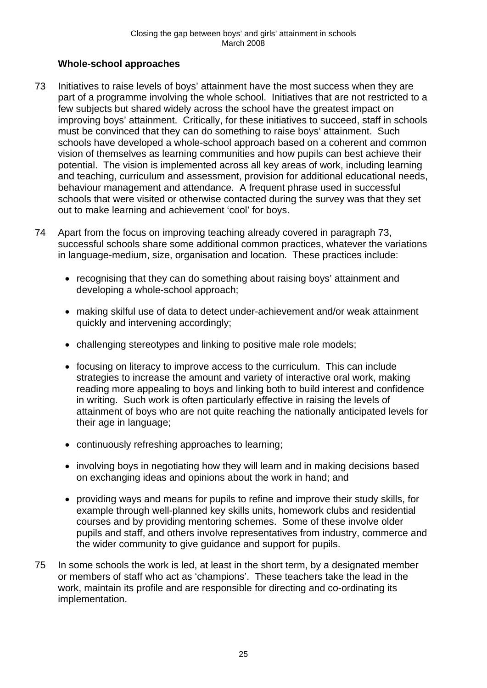## **Whole-school approaches**

- 73 Initiatives to raise levels of boys' attainment have the most success when they are part of a programme involving the whole school. Initiatives that are not restricted to a few subjects but shared widely across the school have the greatest impact on improving boys' attainment. Critically, for these initiatives to succeed, staff in schools must be convinced that they can do something to raise boys' attainment. Such schools have developed a whole-school approach based on a coherent and common vision of themselves as learning communities and how pupils can best achieve their potential. The vision is implemented across all key areas of work, including learning and teaching, curriculum and assessment, provision for additional educational needs, behaviour management and attendance. A frequent phrase used in successful schools that were visited or otherwise contacted during the survey was that they set out to make learning and achievement 'cool' for boys.
- 74 Apart from the focus on improving teaching already covered in paragraph 73, successful schools share some additional common practices, whatever the variations in language-medium, size, organisation and location. These practices include:
	- recognising that they can do something about raising boys' attainment and developing a whole-school approach;
	- making skilful use of data to detect under-achievement and/or weak attainment quickly and intervening accordingly;
	- challenging stereotypes and linking to positive male role models;
	- focusing on literacy to improve access to the curriculum. This can include strategies to increase the amount and variety of interactive oral work, making reading more appealing to boys and linking both to build interest and confidence in writing. Such work is often particularly effective in raising the levels of attainment of boys who are not quite reaching the nationally anticipated levels for their age in language;
	- continuously refreshing approaches to learning;
	- involving boys in negotiating how they will learn and in making decisions based on exchanging ideas and opinions about the work in hand; and
	- providing ways and means for pupils to refine and improve their study skills, for example through well-planned key skills units, homework clubs and residential courses and by providing mentoring schemes. Some of these involve older pupils and staff, and others involve representatives from industry, commerce and the wider community to give guidance and support for pupils.
- 75 In some schools the work is led, at least in the short term, by a designated member or members of staff who act as 'champions'. These teachers take the lead in the work, maintain its profile and are responsible for directing and co-ordinating its implementation.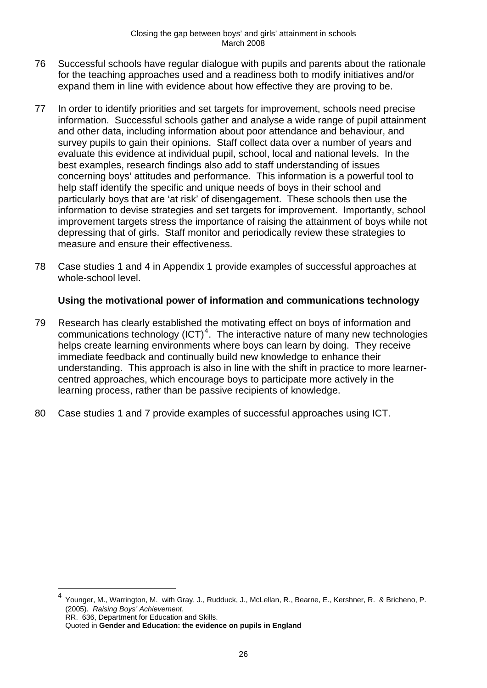- <span id="page-29-0"></span>76 Successful schools have regular dialogue with pupils and parents about the rationale for the teaching approaches used and a readiness both to modify initiatives and/or expand them in line with evidence about how effective they are proving to be.
- 77 In order to identify priorities and set targets for improvement, schools need precise information. Successful schools gather and analyse a wide range of pupil attainment and other data, including information about poor attendance and behaviour, and survey pupils to gain their opinions. Staff collect data over a number of years and evaluate this evidence at individual pupil, school, local and national levels. In the best examples, research findings also add to staff understanding of issues concerning boys' attitudes and performance. This information is a powerful tool to help staff identify the specific and unique needs of boys in their school and particularly boys that are 'at risk' of disengagement. These schools then use the information to devise strategies and set targets for improvement. Importantly, school improvement targets stress the importance of raising the attainment of boys while not depressing that of girls. Staff monitor and periodically review these strategies to measure and ensure their effectiveness.
- 78 Case studies 1 and 4 in Appendix 1 provide examples of successful approaches at whole-school level.

## **Using the motivational power of information and communications technology**

- 79 Research has clearly established the motivating effect on boys of information and communications technology  $(ICT)^4$  $(ICT)^4$ . The interactive nature of many new technologies helps create learning environments where boys can learn by doing. They receive immediate feedback and continually build new knowledge to enhance their understanding. This approach is also in line with the shift in practice to more learnercentred approaches, which encourage boys to participate more actively in the learning process, rather than be passive recipients of knowledge.
- 80 Case studies 1 and 7 provide examples of successful approaches using ICT.

RR. 636, Department for Education and Skills.

<u>.</u>

<sup>4</sup> Younger, M., Warrington, M. with Gray, J., Rudduck, J., McLellan, R., Bearne, E., Kershner, R. & Bricheno, P. (2005). *Raising Boys' Achievement*,

Quoted in **Gender and Education: the evidence on pupils in England**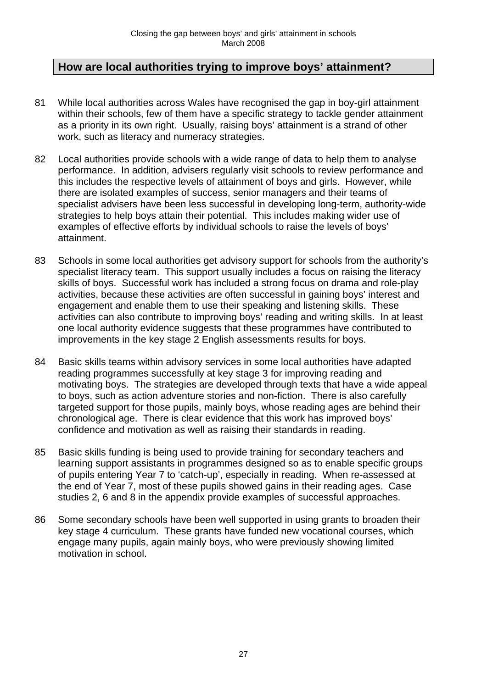# **How are local authorities trying to improve boys' attainment?**

- 81 While local authorities across Wales have recognised the gap in boy-girl attainment within their schools, few of them have a specific strategy to tackle gender attainment as a priority in its own right. Usually, raising boys' attainment is a strand of other work, such as literacy and numeracy strategies.
- 82 Local authorities provide schools with a wide range of data to help them to analyse performance. In addition, advisers regularly visit schools to review performance and this includes the respective levels of attainment of boys and girls. However, while there are isolated examples of success, senior managers and their teams of specialist advisers have been less successful in developing long-term, authority-wide strategies to help boys attain their potential. This includes making wider use of examples of effective efforts by individual schools to raise the levels of boys' attainment.
- 83 Schools in some local authorities get advisory support for schools from the authority's specialist literacy team. This support usually includes a focus on raising the literacy skills of boys. Successful work has included a strong focus on drama and role-play activities, because these activities are often successful in gaining boys' interest and engagement and enable them to use their speaking and listening skills. These activities can also contribute to improving boys' reading and writing skills. In at least one local authority evidence suggests that these programmes have contributed to improvements in the key stage 2 English assessments results for boys.
- 84 Basic skills teams within advisory services in some local authorities have adapted reading programmes successfully at key stage 3 for improving reading and motivating boys. The strategies are developed through texts that have a wide appeal to boys, such as action adventure stories and non-fiction. There is also carefully targeted support for those pupils, mainly boys, whose reading ages are behind their chronological age. There is clear evidence that this work has improved boys' confidence and motivation as well as raising their standards in reading.
- 85 Basic skills funding is being used to provide training for secondary teachers and learning support assistants in programmes designed so as to enable specific groups of pupils entering Year 7 to 'catch-up', especially in reading. When re-assessed at the end of Year 7, most of these pupils showed gains in their reading ages. Case studies 2, 6 and 8 in the appendix provide examples of successful approaches.
- 86 Some secondary schools have been well supported in using grants to broaden their key stage 4 curriculum. These grants have funded new vocational courses, which engage many pupils, again mainly boys, who were previously showing limited motivation in school.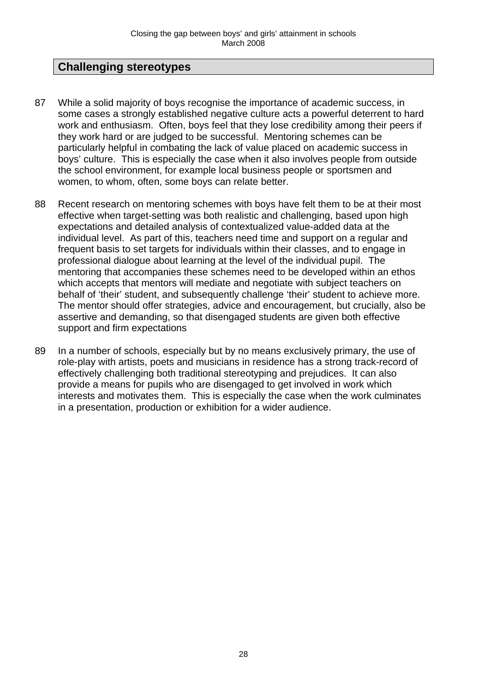# **Challenging stereotypes**

- 87 While a solid majority of boys recognise the importance of academic success, in some cases a strongly established negative culture acts a powerful deterrent to hard work and enthusiasm. Often, boys feel that they lose credibility among their peers if they work hard or are judged to be successful. Mentoring schemes can be particularly helpful in combating the lack of value placed on academic success in boys' culture. This is especially the case when it also involves people from outside the school environment, for example local business people or sportsmen and women, to whom, often, some boys can relate better.
- 88 Recent research on mentoring schemes with boys have felt them to be at their most effective when target-setting was both realistic and challenging, based upon high expectations and detailed analysis of contextualized value-added data at the individual level. As part of this, teachers need time and support on a regular and frequent basis to set targets for individuals within their classes, and to engage in professional dialogue about learning at the level of the individual pupil. The mentoring that accompanies these schemes need to be developed within an ethos which accepts that mentors will mediate and negotiate with subject teachers on behalf of 'their' student, and subsequently challenge 'their' student to achieve more. The mentor should offer strategies, advice and encouragement, but crucially, also be assertive and demanding, so that disengaged students are given both effective support and firm expectations
- 89 In a number of schools, especially but by no means exclusively primary, the use of role-play with artists, poets and musicians in residence has a strong track-record of effectively challenging both traditional stereotyping and prejudices. It can also provide a means for pupils who are disengaged to get involved in work which interests and motivates them. This is especially the case when the work culminates in a presentation, production or exhibition for a wider audience.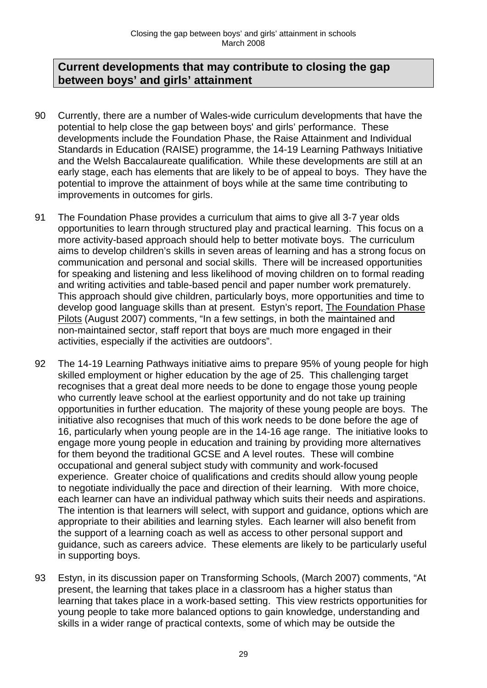## **Current developments that may contribute to closing the gap between boys' and girls' attainment**

- 90 Currently, there are a number of Wales-wide curriculum developments that have the potential to help close the gap between boys' and girls' performance. These developments include the Foundation Phase, the Raise Attainment and Individual Standards in Education (RAISE) programme, the 14-19 Learning Pathways Initiative and the Welsh Baccalaureate qualification. While these developments are still at an early stage, each has elements that are likely to be of appeal to boys. They have the potential to improve the attainment of boys while at the same time contributing to improvements in outcomes for girls.
- 91 The Foundation Phase provides a curriculum that aims to give all 3-7 year olds opportunities to learn through structured play and practical learning. This focus on a more activity-based approach should help to better motivate boys. The curriculum aims to develop children's skills in seven areas of learning and has a strong focus on communication and personal and social skills. There will be increased opportunities for speaking and listening and less likelihood of moving children on to formal reading and writing activities and table-based pencil and paper number work prematurely. This approach should give children, particularly boys, more opportunities and time to develop good language skills than at present. Estyn's report, The Foundation Phase Pilots (August 2007) comments, "In a few settings, in both the maintained and non-maintained sector, staff report that boys are much more engaged in their activities, especially if the activities are outdoors".
- 92 The 14-19 Learning Pathways initiative aims to prepare 95% of young people for high skilled employment or higher education by the age of 25. This challenging target recognises that a great deal more needs to be done to engage those young people who currently leave school at the earliest opportunity and do not take up training opportunities in further education. The majority of these young people are boys. The initiative also recognises that much of this work needs to be done before the age of 16, particularly when young people are in the 14-16 age range. The initiative looks to engage more young people in education and training by providing more alternatives for them beyond the traditional GCSE and A level routes. These will combine occupational and general subject study with community and work-focused experience. Greater choice of qualifications and credits should allow young people to negotiate individually the pace and direction of their learning. With more choice, each learner can have an individual pathway which suits their needs and aspirations. The intention is that learners will select, with support and guidance, options which are appropriate to their abilities and learning styles. Each learner will also benefit from the support of a learning coach as well as access to other personal support and guidance, such as careers advice. These elements are likely to be particularly useful in supporting boys.
- 93 Estyn, in its discussion paper on Transforming Schools, (March 2007) comments, "At present, the learning that takes place in a classroom has a higher status than learning that takes place in a work-based setting. This view restricts opportunities for young people to take more balanced options to gain knowledge, understanding and skills in a wider range of practical contexts, some of which may be outside the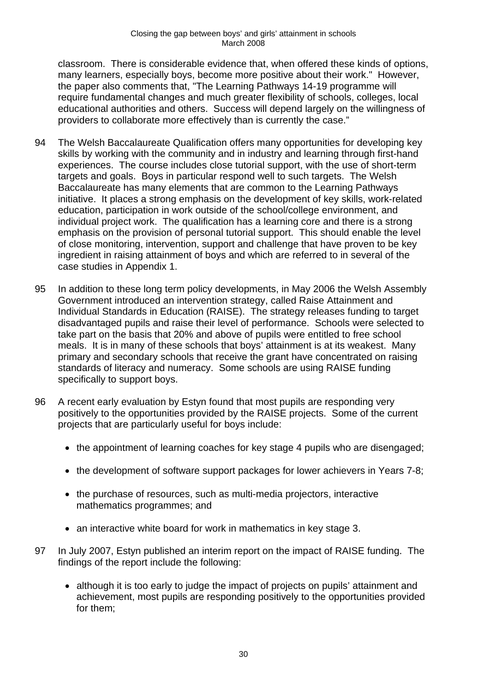classroom. There is considerable evidence that, when offered these kinds of options, many learners, especially boys, become more positive about their work." However, the paper also comments that, "The Learning Pathways 14-19 programme will require fundamental changes and much greater flexibility of schools, colleges, local educational authorities and others. Success will depend largely on the willingness of providers to collaborate more effectively than is currently the case."

- 94 The Welsh Baccalaureate Qualification offers many opportunities for developing key skills by working with the community and in industry and learning through first-hand experiences. The course includes close tutorial support, with the use of short-term targets and goals. Boys in particular respond well to such targets. The Welsh Baccalaureate has many elements that are common to the Learning Pathways initiative. It places a strong emphasis on the development of key skills, work-related education, participation in work outside of the school/college environment, and individual project work. The qualification has a learning core and there is a strong emphasis on the provision of personal tutorial support. This should enable the level of close monitoring, intervention, support and challenge that have proven to be key ingredient in raising attainment of boys and which are referred to in several of the case studies in Appendix 1.
- 95 In addition to these long term policy developments, in May 2006 the Welsh Assembly Government introduced an intervention strategy, called Raise Attainment and Individual Standards in Education (RAISE). The strategy releases funding to target disadvantaged pupils and raise their level of performance. Schools were selected to take part on the basis that 20% and above of pupils were entitled to free school meals. It is in many of these schools that boys' attainment is at its weakest. Many primary and secondary schools that receive the grant have concentrated on raising standards of literacy and numeracy. Some schools are using RAISE funding specifically to support boys.
- 96 A recent early evaluation by Estyn found that most pupils are responding very positively to the opportunities provided by the RAISE projects. Some of the current projects that are particularly useful for boys include:
	- the appointment of learning coaches for key stage 4 pupils who are disengaged;
	- the development of software support packages for lower achievers in Years 7-8;
	- the purchase of resources, such as multi-media projectors, interactive mathematics programmes; and
	- an interactive white board for work in mathematics in key stage 3.
- 97 In July 2007, Estyn published an interim report on the impact of RAISE funding. The findings of the report include the following:
	- although it is too early to judge the impact of projects on pupils' attainment and achievement, most pupils are responding positively to the opportunities provided for them;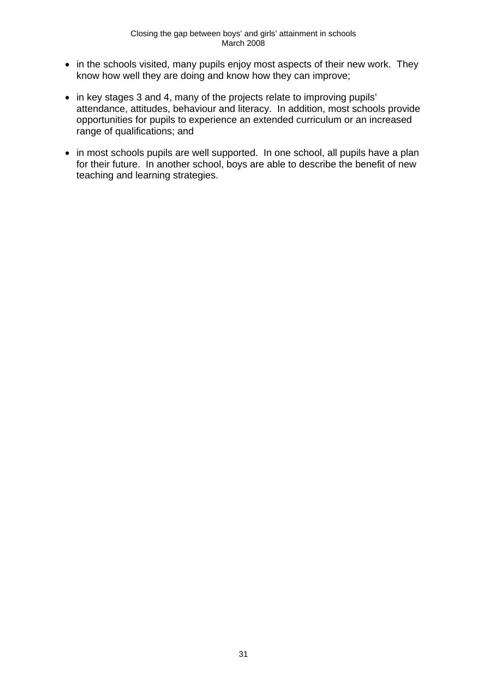- in the schools visited, many pupils enjoy most aspects of their new work. They know how well they are doing and know how they can improve;
- in key stages 3 and 4, many of the projects relate to improving pupils' attendance, attitudes, behaviour and literacy. In addition, most schools provide opportunities for pupils to experience an extended curriculum or an increased range of qualifications; and
- in most schools pupils are well supported. In one school, all pupils have a plan for their future. In another school, boys are able to describe the benefit of new teaching and learning strategies.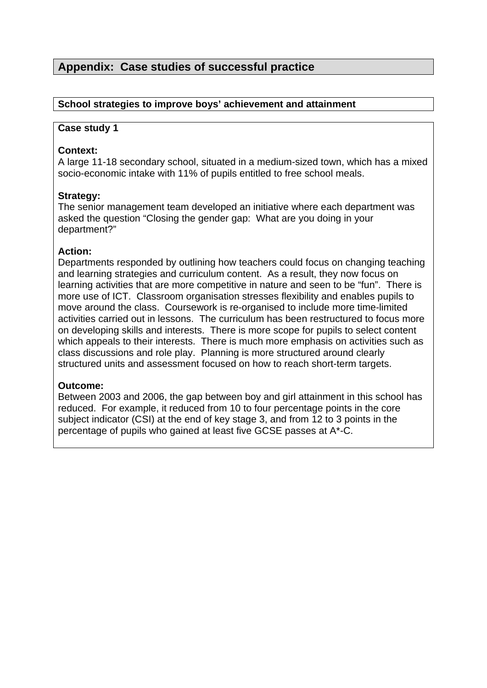# **Appendix: Case studies of successful practice**

#### **School strategies to improve boys' achievement and attainment**

#### **Case study 1**

#### **Context:**

A large 11-18 secondary school, situated in a medium-sized town, which has a mixed socio-economic intake with 11% of pupils entitled to free school meals.

#### **Strategy:**

The senior management team developed an initiative where each department was asked the question "Closing the gender gap: What are you doing in your department?"

#### **Action:**

Departments responded by outlining how teachers could focus on changing teaching and learning strategies and curriculum content. As a result, they now focus on learning activities that are more competitive in nature and seen to be "fun". There is more use of ICT. Classroom organisation stresses flexibility and enables pupils to move around the class. Coursework is re-organised to include more time-limited activities carried out in lessons. The curriculum has been restructured to focus more on developing skills and interests. There is more scope for pupils to select content which appeals to their interests. There is much more emphasis on activities such as class discussions and role play. Planning is more structured around clearly structured units and assessment focused on how to reach short-term targets.

#### **Outcome:**

Between 2003 and 2006, the gap between boy and girl attainment in this school has reduced. For example, it reduced from 10 to four percentage points in the core subject indicator (CSI) at the end of key stage 3, and from 12 to 3 points in the percentage of pupils who gained at least five GCSE passes at A\*-C.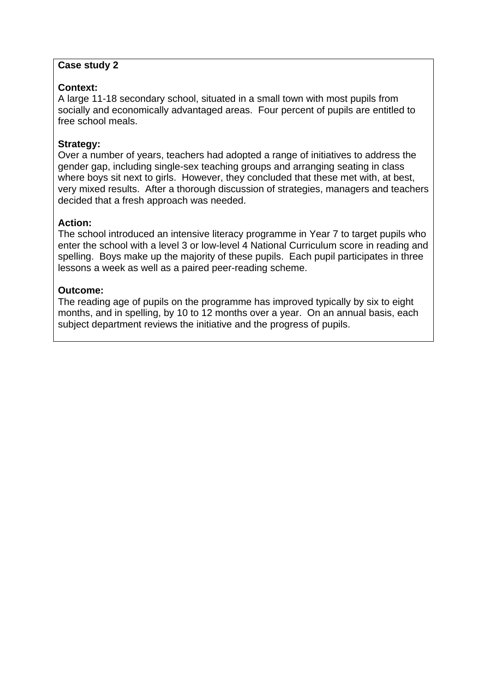## **Context:**

A large 11-18 secondary school, situated in a small town with most pupils from socially and economically advantaged areas. Four percent of pupils are entitled to free school meals.

#### **Strategy:**

Over a number of years, teachers had adopted a range of initiatives to address the gender gap, including single-sex teaching groups and arranging seating in class where boys sit next to girls. However, they concluded that these met with, at best, very mixed results. After a thorough discussion of strategies, managers and teachers decided that a fresh approach was needed.

#### **Action:**

The school introduced an intensive literacy programme in Year 7 to target pupils who enter the school with a level 3 or low-level 4 National Curriculum score in reading and spelling. Boys make up the majority of these pupils. Each pupil participates in three lessons a week as well as a paired peer-reading scheme.

#### **Outcome:**

The reading age of pupils on the programme has improved typically by six to eight months, and in spelling, by 10 to 12 months over a year. On an annual basis, each subject department reviews the initiative and the progress of pupils.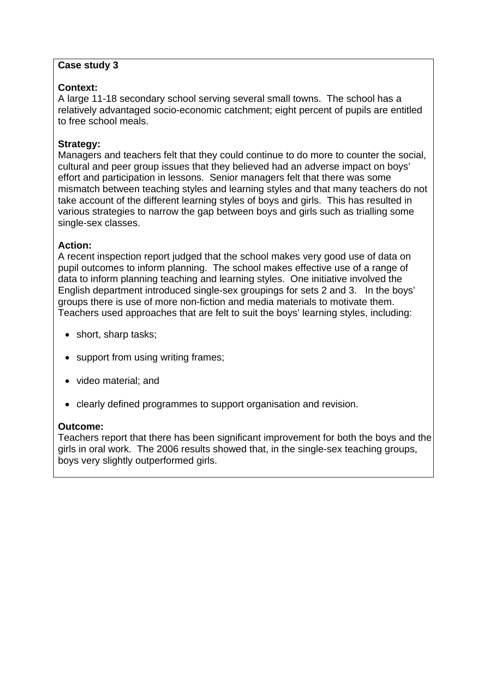## **Context:**

A large 11-18 secondary school serving several small towns. The school has a relatively advantaged socio-economic catchment; eight percent of pupils are entitled to free school meals.

## **Strategy:**

Managers and teachers felt that they could continue to do more to counter the social, cultural and peer group issues that they believed had an adverse impact on boys' effort and participation in lessons. Senior managers felt that there was some mismatch between teaching styles and learning styles and that many teachers do not take account of the different learning styles of boys and girls. This has resulted in various strategies to narrow the gap between boys and girls such as trialling some single-sex classes.

#### **Action:**

A recent inspection report judged that the school makes very good use of data on pupil outcomes to inform planning. The school makes effective use of a range of data to inform planning teaching and learning styles. One initiative involved the English department introduced single-sex groupings for sets 2 and 3. In the boys' groups there is use of more non-fiction and media materials to motivate them. Teachers used approaches that are felt to suit the boys' learning styles, including:

- short, sharp tasks;
- support from using writing frames;
- video material; and
- clearly defined programmes to support organisation and revision.

## **Outcome:**

Teachers report that there has been significant improvement for both the boys and the girls in oral work. The 2006 results showed that, in the single-sex teaching groups, boys very slightly outperformed girls.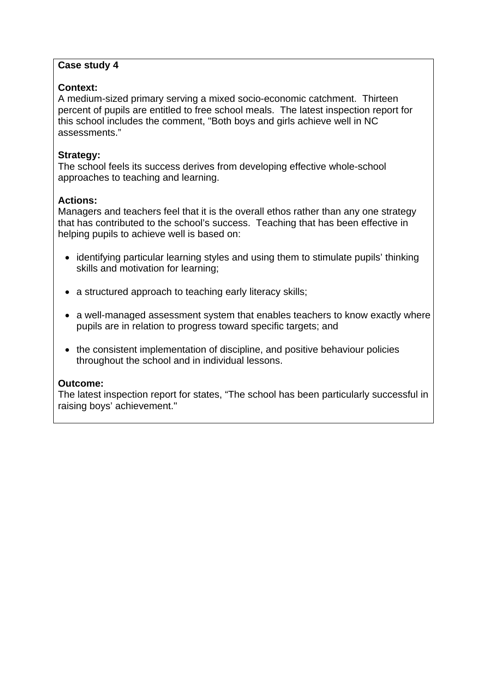## **Context:**

A medium-sized primary serving a mixed socio-economic catchment. Thirteen percent of pupils are entitled to free school meals. The latest inspection report for this school includes the comment, "Both boys and girls achieve well in NC assessments."

## **Strategy:**

The school feels its success derives from developing effective whole-school approaches to teaching and learning.

## **Actions:**

Managers and teachers feel that it is the overall ethos rather than any one strategy that has contributed to the school's success. Teaching that has been effective in helping pupils to achieve well is based on:

- identifying particular learning styles and using them to stimulate pupils' thinking skills and motivation for learning;
- a structured approach to teaching early literacy skills;
- a well-managed assessment system that enables teachers to know exactly where pupils are in relation to progress toward specific targets; and
- the consistent implementation of discipline, and positive behaviour policies throughout the school and in individual lessons.

## **Outcome:**

The latest inspection report for states, "The school has been particularly successful in raising boys' achievement."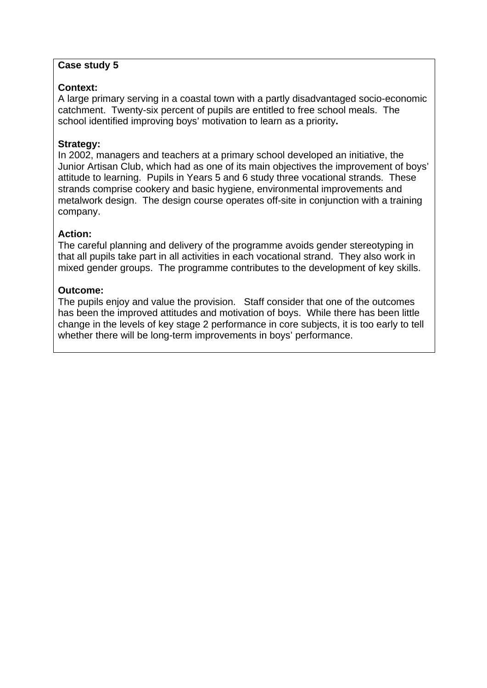## **Context:**

A large primary serving in a coastal town with a partly disadvantaged socio-economic catchment. Twenty-six percent of pupils are entitled to free school meals. The school identified improving boys' motivation to learn as a priority**.** 

#### **Strategy:**

In 2002, managers and teachers at a primary school developed an initiative, the Junior Artisan Club, which had as one of its main objectives the improvement of boys' attitude to learning. Pupils in Years 5 and 6 study three vocational strands. These strands comprise cookery and basic hygiene, environmental improvements and metalwork design. The design course operates off-site in conjunction with a training company.

#### **Action:**

The careful planning and delivery of the programme avoids gender stereotyping in that all pupils take part in all activities in each vocational strand. They also work in mixed gender groups. The programme contributes to the development of key skills.

#### **Outcome:**

The pupils enjoy and value the provision. Staff consider that one of the outcomes has been the improved attitudes and motivation of boys. While there has been little change in the levels of key stage 2 performance in core subjects, it is too early to tell whether there will be long-term improvements in boys' performance.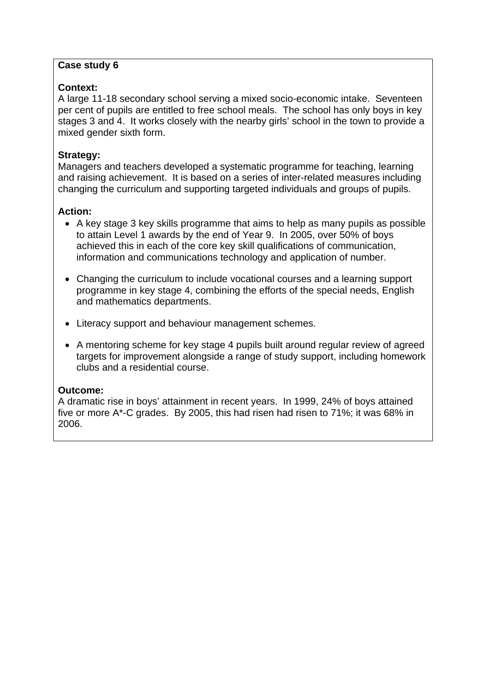## **Context:**

A large 11-18 secondary school serving a mixed socio-economic intake. Seventeen per cent of pupils are entitled to free school meals. The school has only boys in key stages 3 and 4. It works closely with the nearby girls' school in the town to provide a mixed gender sixth form.

#### **Strategy:**

Managers and teachers developed a systematic programme for teaching, learning and raising achievement. It is based on a series of inter-related measures including changing the curriculum and supporting targeted individuals and groups of pupils.

## **Action:**

- A key stage 3 key skills programme that aims to help as many pupils as possible to attain Level 1 awards by the end of Year 9. In 2005, over 50% of boys achieved this in each of the core key skill qualifications of communication, information and communications technology and application of number.
- Changing the curriculum to include vocational courses and a learning support programme in key stage 4, combining the efforts of the special needs, English and mathematics departments.
- Literacy support and behaviour management schemes.
- A mentoring scheme for key stage 4 pupils built around regular review of agreed targets for improvement alongside a range of study support, including homework clubs and a residential course.

## **Outcome:**

A dramatic rise in boys' attainment in recent years. In 1999, 24% of boys attained five or more A\*-C grades. By 2005, this had risen had risen to 71%; it was 68% in 2006.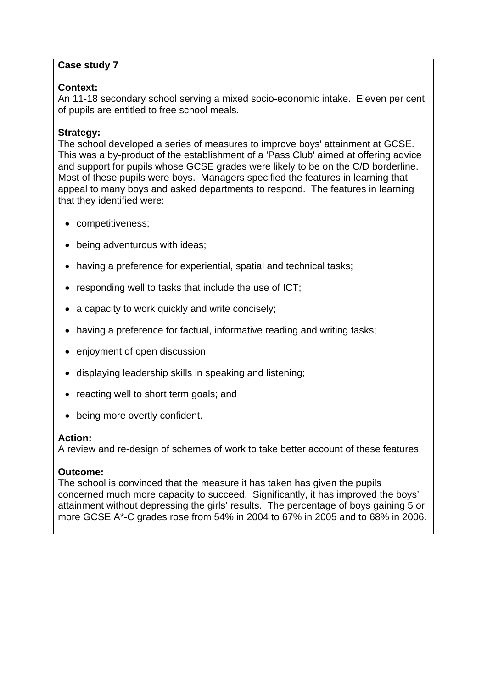#### **Context:**

An 11-18 secondary school serving a mixed socio-economic intake. Eleven per cent of pupils are entitled to free school meals.

#### **Strategy:**

The school developed a series of measures to improve boys' attainment at GCSE. This was a by-product of the establishment of a 'Pass Club' aimed at offering advice and support for pupils whose GCSE grades were likely to be on the C/D borderline. Most of these pupils were boys. Managers specified the features in learning that appeal to many boys and asked departments to respond. The features in learning that they identified were:

- competitiveness;
- being adventurous with ideas;
- having a preference for experiential, spatial and technical tasks;
- responding well to tasks that include the use of ICT;
- a capacity to work quickly and write concisely;
- having a preference for factual, informative reading and writing tasks;
- enjoyment of open discussion;
- displaying leadership skills in speaking and listening;
- reacting well to short term goals; and
- being more overtly confident.

#### **Action:**

A review and re-design of schemes of work to take better account of these features.

## **Outcome:**

The school is convinced that the measure it has taken has given the pupils concerned much more capacity to succeed. Significantly, it has improved the boys' attainment without depressing the girls' results. The percentage of boys gaining 5 or more GCSE A\*-C grades rose from 54% in 2004 to 67% in 2005 and to 68% in 2006.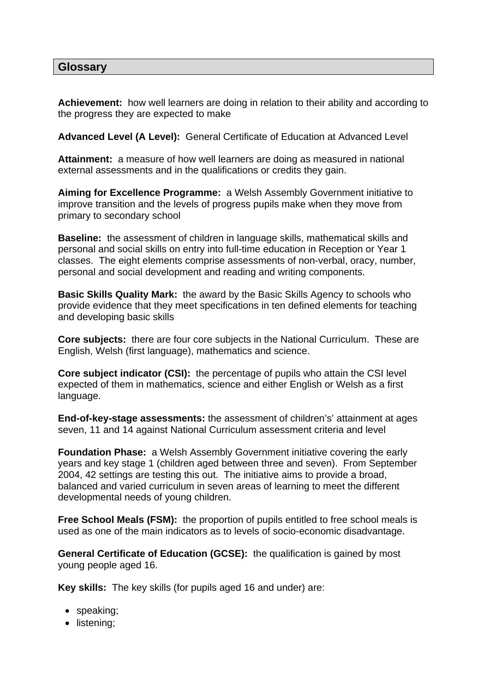## **Glossary**

**Achievement:** how well learners are doing in relation to their ability and according to the progress they are expected to make

**Advanced Level (A Level):** General Certificate of Education at Advanced Level

**Attainment:** a measure of how well learners are doing as measured in national external assessments and in the qualifications or credits they gain.

**Aiming for Excellence Programme:** a Welsh Assembly Government initiative to improve transition and the levels of progress pupils make when they move from primary to secondary school

**Baseline:** the assessment of children in language skills, mathematical skills and personal and social skills on entry into full-time education in Reception or Year 1 classes. The eight elements comprise assessments of non-verbal, oracy, number, personal and social development and reading and writing components.

**Basic Skills Quality Mark:** the award by the Basic Skills Agency to schools who provide evidence that they meet specifications in ten defined elements for teaching and developing basic skills

**Core subjects:** there are four core subjects in the National Curriculum. These are English, Welsh (first language), mathematics and science.

**Core subject indicator (CSI):** the percentage of pupils who attain the CSI level expected of them in mathematics, science and either English or Welsh as a first language.

**End-of-key-stage assessments:** the assessment of children's' attainment at ages seven, 11 and 14 against National Curriculum assessment criteria and level

**Foundation Phase:** a Welsh Assembly Government initiative covering the early years and key stage 1 (children aged between three and seven). From September 2004, 42 settings are testing this out. The initiative aims to provide a broad, balanced and varied curriculum in seven areas of learning to meet the different developmental needs of young children.

**Free School Meals (FSM):** the proportion of pupils entitled to free school meals is used as one of the main indicators as to levels of socio-economic disadvantage.

**General Certificate of Education (GCSE):** the qualification is gained by most young people aged 16.

**Key skills:** The key skills (for pupils aged 16 and under) are:

- speaking;
- listening;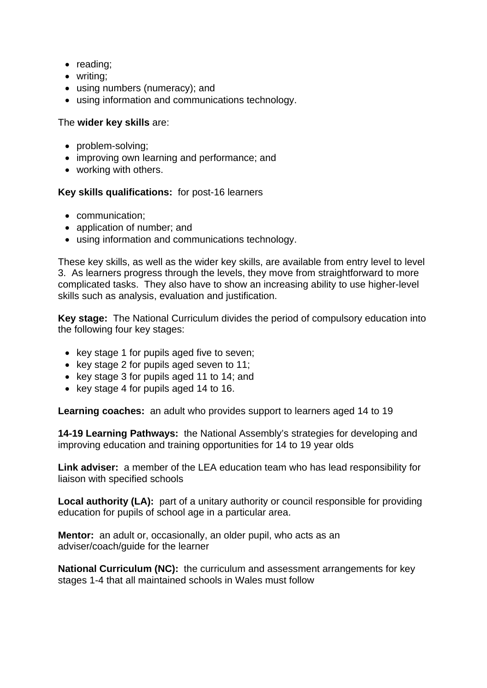- reading;
- writing;
- using numbers (numeracy); and
- using information and communications technology.

#### The **wider key skills** are:

- problem-solving;
- improving own learning and performance; and
- working with others.

#### **Key skills qualifications:** for post-16 learners

- communication;
- application of number; and
- using information and communications technology.

These key skills, as well as the wider key skills, are available from entry level to level 3. As learners progress through the levels, they move from straightforward to more complicated tasks. They also have to show an increasing ability to use higher-level skills such as analysis, evaluation and justification.

**Key stage:** The National Curriculum divides the period of compulsory education into the following four key stages:

- key stage 1 for pupils aged five to seven;
- key stage 2 for pupils aged seven to 11;
- key stage 3 for pupils aged 11 to 14; and
- key stage 4 for pupils aged 14 to 16.

**Learning coaches:** an adult who provides support to learners aged 14 to 19

**14-19 Learning Pathways:** the National Assembly's strategies for developing and improving education and training opportunities for 14 to 19 year olds

**Link adviser:** a member of the LEA education team who has lead responsibility for liaison with specified schools

**Local authority (LA):** part of a unitary authority or council responsible for providing education for pupils of school age in a particular area.

**Mentor:** an adult or, occasionally, an older pupil, who acts as an adviser/coach/guide for the learner

**National Curriculum (NC):** the curriculum and assessment arrangements for key stages 1-4 that all maintained schools in Wales must follow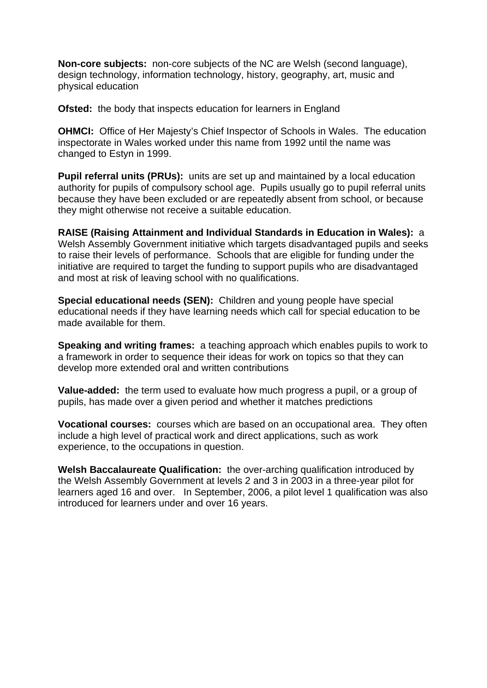**Non-core subjects:** non-core subjects of the NC are Welsh (second language), design technology, information technology, history, geography, art, music and physical education

**Ofsted:** the body that inspects education for learners in England

**OHMCI:** Office of Her Majesty's Chief Inspector of Schools in Wales. The education inspectorate in Wales worked under this name from 1992 until the name was changed to Estyn in 1999.

**Pupil referral units (PRUs):** units are set up and maintained by a local education authority for pupils of compulsory school age. Pupils usually go to pupil referral units because they have been excluded or are repeatedly absent from school, or because they might otherwise not receive a suitable education.

**RAISE (Raising Attainment and Individual Standards in Education in Wales):** a Welsh Assembly Government initiative which targets disadvantaged pupils and seeks to raise their levels of performance. Schools that are eligible for funding under the initiative are required to target the funding to support pupils who are disadvantaged and most at risk of leaving school with no qualifications.

**Special educational needs (SEN):** Children and young people have special educational needs if they have learning needs which call for special education to be made available for them.

**Speaking and writing frames:** a teaching approach which enables pupils to work to a framework in order to sequence their ideas for work on topics so that they can develop more extended oral and written contributions

**Value-added:** the term used to evaluate how much progress a pupil, or a group of pupils, has made over a given period and whether it matches predictions

**Vocational courses:** courses which are based on an occupational area. They often include a high level of practical work and direct applications, such as work experience, to the occupations in question.

**Welsh Baccalaureate Qualification:** the over-arching qualification introduced by the Welsh Assembly Government at levels 2 and 3 in 2003 in a three-year pilot for learners aged 16 and over. In September, 2006, a pilot level 1 qualification was also introduced for learners under and over 16 years.